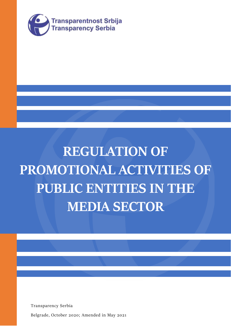

# **REGULATION OF PROMOTIONAL ACTIVITIES OF PUBLIC ENTITIES IN THE MEDIA SECTOR**

Transparency Serbia

Belgrade, October 2020; Amended in May 2021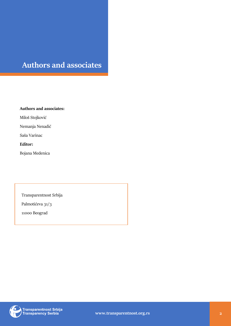# **Authors and associates**

REGULATION OF PROMOTIONAL ACTIVITIES OF PUBLIC ENTITIES IN THE MEDIA SECTOR

**Authors and associates:**

Miloš Stojković

Nemanja Nenadić

Saša Varinac

## **Editor:**

Bojana Medenica

Transparentnost Srbija

Palmotićeva 31/3

11000 Beograd



) Transparentnost Srbija<br>) Transparency Serbia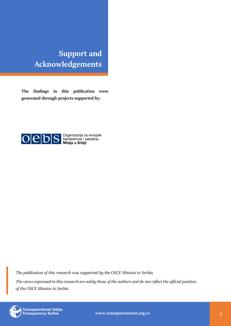# **Support and Acknowledgements**

REGULATION OF PROMOTIONAL ACTIVITIES OF PUBLIC ENTITIES IN THE MEDIA SECTOR

**The findings in this publication were generated through projects supported by:**



*The publication of this research was supported by the OSCE Mission to Serbia.*

*The views expressed in this research are solely those of the authors and do not reflect the official position of the OSCE Mission to Serbia*



Transparentnost Srbija<br>Transparency Serbia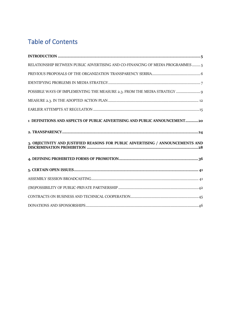# Table of Contents

| RELATIONSHIP BETWEEN PUBLIC ADVERTISING AND CO-FINANCING OF MEDIA PROGRAMMES  5 |
|---------------------------------------------------------------------------------|
|                                                                                 |
|                                                                                 |
| POSSIBLE WAYS OF IMPLEMENTING THE MEASURE 2.3. FROM THE MEDIA STRATEGY  9       |
|                                                                                 |
|                                                                                 |
| 1 DEFINITIONS AND ASPECTS OF PUBLIC ADVERTISING AND PUBLIC ANNOUNCEMENT20       |
|                                                                                 |
| 3. OBJECTIVITY AND JUSTIFIED REASONS FOR PUBLIC ADVERTISING / ANNOUNCEMENTS AND |
|                                                                                 |
|                                                                                 |
|                                                                                 |
|                                                                                 |
|                                                                                 |
|                                                                                 |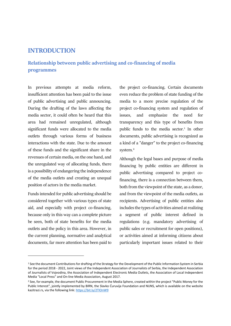# <span id="page-4-0"></span>**INTRODUCTION**

# <span id="page-4-1"></span>**Relationship between public advertising and co-financing of media programmes**

In previous attempts at media reform, insufficient attention has been paid to the issue of public advertising and public announcing. During the drafting of the laws affecting the media sector, it could often be heard that this area had remained unregulated, although significant funds were allocated to the media outlets through various forms of business interactions with the state. Due to the amount of these funds and the significant share in the revenues of certain media, on the one hand, and the unregulated way of allocating funds, there is a possibility of endangering the independence of the media outlets and creating an unequal position of actors in the media market.

Funds intended for public advertising should be considered together with various types of state aid, and especially with project co-financing, because only in this way can a complete picture be seen, both of state benefits for the media outlets and the policy in this area. However, in the current planning, normative and analytical documents, far more attention has been paid to

the project co-financing. Certain documents even reduce the problem of state funding of the media to a more precise regulation of the project co-financing system and regulation of issues, and emphasize the need for transparency and this type of benefits from public funds to the media sector.<sup>1</sup> In other documents, public advertising is recognized as a kind of a "danger" to the project co-financing system.<sup>2</sup>

Although the legal bases and purpose of media financing by public entities are different in public advertising compared to project cofinancing, there is a connection between them, both from the viewpoint of the state, as a donor, and from the viewpoint of the media outlets, as recipients. Advertising of public entities also includes the types of activities aimed at realizing a segment of public interest defined in regulations (e.g. mandatory advertising of public sales or recruitment for open positions), or activities aimed at informing citizens about particularly important issues related to their

<sup>&</sup>lt;sup>1</sup> See the document Contributions for drafting of the Strategy for the Development of the Public Information System in Serbia for the period 2018 - 2022, Joint views of the Independent Association of Journalists of Serbia, the Independent Association of Journalists of Vojvodina, the Association of Independent Electronic Media Outlets, the Association of Local Independent Media "Local Press" and On-line Media Association, August 2017.

<sup>2</sup> See, for example, the document Public Procurement in the Media Sphere, created within the project "Public Money for the Public Interest", jointly implemented by BIRN, the Slavko Ćuruvija Foundation and NUNS, which is available on the website kazitrazi.rs, via the following link[: https://bit.ly/2TlOnW9](https://bit.ly/2TlOnW9)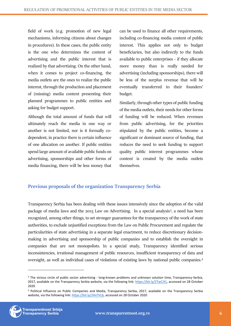field of work (e.g. promotion of new legal mechanisms, informing citizens about changes in procedures). In these cases, the public entity is the one who determines the content of advertising and the public interest that is realized by that advertising. On the other hand, when it comes to project co-financing, the media outlets are the ones to realize the public interest, through the production and placement of (missing) media content presenting their planned programmes to public entities and asking for budget support.

Although the total amount of funds that will ultimately reach the media in one way or another is not limited, nor is it formally codependent, in practice there is certain influence of one allocation on another. If public entities spend large amount of available public funds on advertising, sponsorships and other forms of media financing, there will be less money that

can be used to finance all other requirements, including co-financing media content of public interest. This applies not only to budget beneficiaries, but also indirectly to the funds available to public enterprises - if they allocate more money than is really needed for advertising (including sponsorships), there will be less of the surplus revenue that will be eventually transferred to their founders' budget.

Similarly, through other types of public funding of the media outlets, their needs for other forms of funding will be reduced. When revenues from public advertising, for the priorities stipulated by the public entities, become a significant or dominant source of funding, that reduces the need to seek funding to support quality public interest programmes whose content is created by the media outlets themselves.

# <span id="page-5-0"></span>**Previous proposals of the organization Transparency Serbia**

Transparency Serbia has been dealing with these issues intensively since the adoption of the valid package of media laws and the 2015 Law on Advertising. In a special analysis<sup>3</sup>, a need has been recognized, among other things, to set stronger guarantees for the transparency of the work of state authorities, to exclude unjustified exceptions from the Law on Public Procurement and regulate the particularities of state advertising in a separate legal enactment, to reduce discretionary decisionmaking in advertising and sponsorship of public companies and to establish the oversight in companies that are not monopolists. In a special study, Transparency identified serious inconsistencies, irrational management of public resources, insufficient transparency of data and oversight, as well as individual cases of violations of existing laws by national public companies.<sup>4</sup>

<sup>4</sup> Political Influence on Public Companies and Media, Transparency Serbia, 2017, available on the Transparency Serbia website, via the following link: [https://bit.ly/2HxTVLb,](https://bit.ly/2HxTVLb) accessed on 28 October 2020



<sup>&</sup>lt;sup>3</sup> The vicious circle of public sector advertising - long-known problems and unknown solution time, Transparency-Serbia, 2017, available on the Transparency Serbia website, via the following link: [https://bit.ly/2TwCJYL,](https://bit.ly/2TwCJYL) accessed on 28 October 2020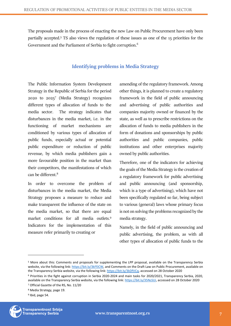The proposals made in the process of enacting the new Law on Public Procurement have only been partially accepted.<sup>5</sup> TS also views the regulation of these issues as one of the 15 priorities for the Government and the Parliament of Serbia to fight corruption.<sup>6</sup>

# **Identifying problems in Media Strategy**

<span id="page-6-0"></span>The Public Information System Development Strategy in the Republic of Serbia for the period 2020 to 2025<sup>7</sup> (Media Strategy) recognizes different types of allocation of funds to the media sector. The strategy indicates that disturbances in the media market, i.e. in the functioning of market mechanisms are conditioned by various types of allocation of public funds, especially actual or potential public expenditure or reduction of public revenue, by which media publishers gain a more favourable position in the market than their competitors, the manifestations of which can be different  $8$ 

In order to overcome the problem of disturbances in the media market, the Media Strategy proposes a measure to reduce and make transparent the influence of the state on the media market, so that there are equal market conditions for all media outlets.<sup>9</sup> Indicators for the implementation of this measure refer primarily to creating or

amending of the regulatory framework. Among other things, it is planned to create a regulatory framework in the field of public announcing and advertising of public authorities and companies majority owned or financed by the state, as well as to prescribe restrictions on the allocation of funds to media publishers in the form of donations and sponsorships by public authorities and public companies, public institutions and other enterprises majority owned by public authorities.

Therefore, one of the indicators for achieving the goals of the Media Strategy is the creation of a regulatory framework for public advertising and public announcing (and sponsorship, which is a type of advertising), which have not been specifically regulated so far, being subject to various (general) laws whose primary focus is not on solving the problems recognized by the media strategy.

Namely, in the field of public announcing and public advertising, the problem, as with all other types of allocation of public funds to the

<sup>&</sup>lt;sup>9</sup> Ibid, page 54.



<sup>5</sup> More about this: Comments and proposals for supplementing the LPP proposal, available on the Transparency Serbia website, via the following link: [https://bit.ly/3kFfJCW,](https://bit.ly/3kFfJCW) and Comments on the Draft Law on Public Procurement, available on the Transparency Serbia website, via the following link[: https://bit.ly/3kDfVCq,](https://bit.ly/3kDfVCq) accessed on 28 October 2020

<sup>6</sup> Priorities in the fight against corruption in Serbia 2020-2024 and main tasks for 2020/2021, Transparency Serbia, 2020, available on the Transparency Serbia website, via the following link[: https://bit.ly/35NsSUi,](https://bit.ly/35NsSUi) accessed on 28 October 2020 <sup>7</sup> Official Gazette of the RS, No. 11/20

<sup>8</sup> Media Strategy, page 19.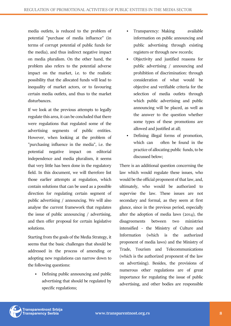media outlets, is reduced to the problem of potential "purchase of media influence" (in terms of corrupt potential of public funds for the media), and thus indirect negative impact on media pluralism. On the other hand, the problem also refers to the potential adverse impact on the market, i.e. to the realistic possibility that the allocated funds will lead to inequality of market actors, or to favouring certain media outlets, and thus to the market disturbances.

If we look at the previous attempts to legally regulate this area, it can be concluded that there were regulations that regulated some of the advertising segments of public entities. However, when looking at the problem of "purchasing influence in the media", i.e. the potential negative impact on editorial independence and media pluralism, it seems that very little has been done in the regulatory field. In this document, we will therefore list those earlier attempts at regulation, which contain solutions that can be used as a possible direction for regulating certain segment of public advertising / announcing. We will also analyse the current framework that regulates the issue of public announcing / advertising, and then offer proposal for certain legislative solutions.

Starting from the goals of the Media Strategy, it seems that the basic challenges that should be addressed in the process of amending or adopting new regulations can narrow down to the following questions:

• Defining public announcing and public advertising that should be regulated by specific regulations;

- Transparency: Making available information on public announcing and public advertising through existing registers or through new records;
- Objectivity and justified reasons for public advertising / announcing and prohibition of discrimination: through consideration of what would be objective and verifiable criteria for the selection of media outlets through which public advertising and public announcing will be placed, as well as the answer to the question whether some types of these promotions are allowed and justified at all;
- Defining illegal forms of promotion, which can often be found in the practice of allocating public funds, to be discussed below;

There is an additional question concerning the law which would regulate these issues, who would be the official proponent of that law, and, ultimately, who would be authorized to supervise the law. These issues are not secondary and formal, as they seem at first glance, since in the previous period, especially after the adoption of media laws (2014), the disagreements between two ministries intensified - the Ministry of Culture and Information (which is the authorized proponent of media laws) and the Ministry of Trade, Tourism and Telecommunications (which is the authorized proponent of the law on advertising). Besides, the provisions of numerous other regulations are of great importance for regulating the issue of public advertising, and other bodies are responsible

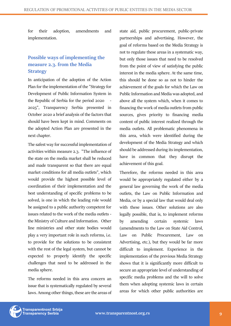for their adoption, amendments and implementation.

# <span id="page-8-0"></span>**Possible ways of implementing the measure 2.3. from the Media Strategy**

In anticipation of the adoption of the Action Plan for the implementation of the "Strategy for Development of Public Information System in the Republic of Serbia for the period 2020 2025", Transparency Serbia presented in October 2020 a brief analysis of the factors that should have been kept in mind. Comments on the adopted Action Plan are presented in the next chapter.

The safest way for successful implementation of activities within measure 2.3. "The influence of the state on the media market shall be reduced and made transparent so that there are equal market conditions for all media outlets", which would provide the highest possible level of coordination of their implementation and the best understanding of specific problems to be solved, is one in which the leading role would be assigned to a public authority competent for issues related to the work of the media outlets the Ministry of Culture and Information. Other line ministries and other state bodies would play a very important role in such reforms, i.e. to provide for the solutions to be consistent with the rest of the legal system, but cannot be expected to properly identify the specific challenges that need to be addressed in the media sphere.

The reforms needed in this area concern an issue that is systematically regulated by several laws. Among other things, these are the areas of state aid, public procurement, public-private partnerships and advertising. However, the goal of reforms based on the Media Strategy is not to regulate these areas in a systematic way, but only those issues that need to be resolved from the point of view of satisfying the public interest in the media sphere. At the same time, this should be done so as not to hinder the achievement of the goals for which the Law on Public Information and Media was adopted, and above all the system which, when it comes to financing the work of media outlets from public sources, gives priority to financing media content of public interest realized through the media outlets. All problematic phenomena in this area, which were identified during the development of the Media Strategy and which should be addressed during its implementation, have in common that they disrupt the achievement of this goal.

Therefore, the reforms needed in this area would be appropriately regulated either by a general law governing the work of the media outlets, the Law on Public Information and Media, or by a special law that would deal only with these issues. Other solutions are also legally possible, that is, to implement reforms by amending certain systemic laws (amendments to the Law on State Aid Control, Law on Public Procurement, Law on Advertising, etc.), but they would be far more difficult to implement. Experience in the implementation of the previous Media Strategy shows that it is significantly more difficult to secure an appropriate level of understanding of specific media problems and the will to solve them when adopting systemic laws in certain areas for which other public authorities are

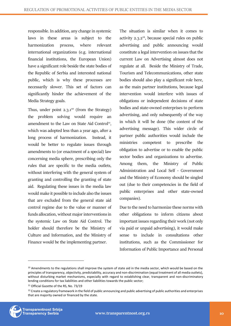responsible. In addition, any change in systemic laws in these areas is subject to the harmonization process, where relevant international organizations (e.g. international financial institutions, the European Union) have a significant role beside the state bodies of the Republic of Serbia and interested national public, which is why these processes are necessarily slower. This set of factors can significantly hinder the achievement of the Media Strategy goals.

Thus, under point  $2.3 \cdot 1^{10}$  (from the Strategy) the problem solving would require an amendment to the Law on State Aid Control<sup>11</sup>, which was adopted less than a year ago, after a long process of harmonization. Instead, it would be better to regulate issues through amendments to (or enactment of a special) law concerning media sphere, prescribing only the rules that are specific to the media outlets, without interfering with the general system of granting and controlling the granting of state aid. Regulating these issues in the media law would make it possible to include also the issues that are excluded from the general state aid control regime due to the value or manner of funds allocation, without major interventions in the systemic Law on State Aid Control. The holder should therefore be the Ministry of Culture and Information, and the Ministry of Finance would be the implementing partner.

The situation is similar when it comes to activity  $2.3 \cdot 2^{12}$ , because special rules on public advertising and public announcing would constitute a legal intervention on issues that the current Law on Advertising almost does not regulate at all. Beside the Ministry of Trade, Tourism and Telecommunications, other state bodies should also play a significant role here, as the main partner institutions, because legal intervention would interfere with issues of obligations or independent decisions of state bodies and state-owned enterprises to perform advertising, and only subsequently of the way in which it will be done (the content of the advertising message). This wider circle of partner public authorities would include the ministries competent to prescribe the obligation to advertise or to enable the public sector bodies and organizations to advertise. Among them, the Ministry of Public Administration and Local Self - Government and the Ministry of Economy should be singled out (due to their competencies in the field of public enterprises and other state-owned companies).

Due to the need to harmonize these norms with other obligations to inform citizens about important issues regarding their work (not only via paid or unpaid advertising), it would make sense to include in consultations other institutions, such as the Commissioner for Information of Public Importance and Personal

<sup>&</sup>lt;sup>12</sup> Create a regulatory framework in the field of public announcing and public advertising of public authorities and enterprises that are majority owned or financed by the state.



<sup>&</sup>lt;sup>10</sup> Amendments to the regulations shall improve the system of state aid in the media sector, which would be based on the principles of transparency, objectivity, predictability, accuracy and non-discrimination (equal treatment of all media outlets), without disturbing market mechanisms, especially with regard to establishing clear, transparent and non-discriminatory lending conditions for tax liabilities and other liabilities towards the public sector;

<sup>11</sup> Official Gazette of the RS, No. 73/19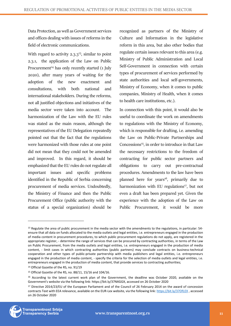Data Protection, as well as Government services and offices dealing with issues of reforms in the field of electronic communications.

With regard to activity  $2.3.3^{13}$ , similar to point 2.3.1, the application of the Law on Public Procurement<sup>14</sup> has only recently started  $(1$  July 2020), after many years of waiting for the adoption of the new enactment and consultations, with both national and international stakeholders. During the reforms, not all justified objections and initiatives of the media sector were taken into account. The harmonization of the Law with the EU rules was stated as the main reason, although the representatives of the EU Delegation repeatedly pointed out that the fact that the regulations were harmonized with those rules at one point did not mean that they could not be amended and improved. In this regard, it should be emphasized that the EU rules do not regulate all important issues and specific problems identified in the Republic of Serbia concerning procurement of media services. Undoubtedly, the Ministry of Finance and then the Public Procurement Office (public authority with the status of a special organization) should be

recognized as partners of the Ministry of Culture and Information in the legislative reform in this area, but also other bodies that regulate certain issues relevant to this area (e.g. Ministry of Public Administration and Local Self-Government in connection with certain types of procurement of services performed by state authorities and local self-governments, Ministry of Economy, when it comes to public companies, Ministry of Health, when it comes to health care institutions, etc.).

In connection with this point, it would also be useful to coordinate the work on amendments to regulations with the Ministry of Economy, which is responsible for drafting, i.e. amending the Law on Public-Private Partnerships and  $Concessions<sup>15</sup>$ , in order to introduce in that Law the necessary restrictions to the freedom of contracting for public sector partners and obligations to carry out pre-contractual procedures. Amendments to the law have been planned here for years<sup>16</sup>, primarily due to harmonization with EU regulations<sup>17</sup>, but not even a draft has been prepared yet. Given the experience with the adoption of the Law on Public Procurement, it would be more

<sup>&</sup>lt;sup>17</sup> Directive 2014/23/EU of the European Parliament and of the Council of 26 February 2014 on the award of concession contracts Text with EEA relevance, available on the EUR-Lex website, via the following link[: https://bit.ly/37OfLEX](https://bit.ly/37OfLEX) , accessed on 26 October 2020



<sup>&</sup>lt;sup>13</sup> Regulate the area of public procurement in the media sector with the amendments to the regulations, in particular: 54ensure that all data on funds allocated to the media outlets and legal entities, i.e. entrepreneurs engaged in the production of media content in procurement procedures, to which public procurement regulations do not apply, are registered in the appropriate register, - determine the range of services that can be procured by contracting authorities, in terms of the Law on Public Procurement, from the media outlets and legal entities, i.e. entrepreneurs engaged in the production of media content, - limit cases in which contracting authorities (public partners) may conclude contracts on business-technical cooperation and other types of public-private partnership with media publishers and legal entities, i.e. entrepreneurs engaged in the production of media content, - specify the criteria for the selection of media outlets and legal entities, i.e. entrepreneurs engaged in the production of media content, that provide services to contracting authorities;

<sup>14</sup> Official Gazette of the RS, no. 91/19

<sup>15</sup> Official Gazette of the RS, no. 88/11, 15/16 and 104/16.

<sup>&</sup>lt;sup>16</sup> According to the latest current work plan of the Government, the deadline was October 2020, available on the Government's website via the following link: https://bit.ly/37NXGGX, accessed on 26 October 2020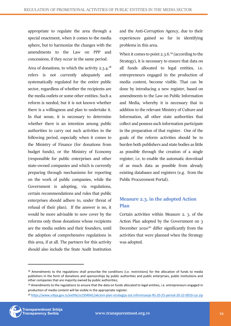appropriate to regulate the area through a special enactment, when it comes to the media sphere, but to harmonize the changes with the amendments to the Law on PPP and concessions, if they occur in the same period.

Area of donations, to which the activity 2.3.4.<sup>18</sup> refers is not currently adequately and systematically regulated for the entire public sector, regardless of whether the recipients are the media outlets or some other entities. Such a reform is needed, but it is not known whether there is a willingness and plan to undertake it. In that sense, it is necessary to determine whether there is an intention among public authorities to carry out such activities in the following period, especially when it comes to the Ministry of Finance (for donations from budget funds), or the Ministry of Economy (responsible for public enterprises and other state-owned companies and which is currently preparing through mechanisms for reporting on the work of public companies, while the Government is adopting, via regulations, certain recommendations and rules that public enterprises should adhere to, under threat of refusal of their plan). If the answer is no, it would be more advisable to now cover by the reforms only those donations whose recipients are the media outlets and their founders, until the adoption of comprehensive regulations in this area, if at all. The partners for this activity should also include the State Audit Institution

and the Anti-Corruption Agency, due to their experiences gained so far in identifying problems in this area.

When it comes to point 2.3.6.<sup>19</sup> (according to the Strategy), it is necessary to ensure that data on all funds allocated to legal entities, i.e. entrepreneurs engaged in the production of media content, become visible. That can be done by introducing a new register, based on amendments to the Law on Public Information and Media, whereby it is necessary that in addition to the relevant Ministry of Culture and Information, all other state authorities that collect and possess such information participate in the preparation of that register. One of the goals of the reform activities should be to burden both publishers and state bodies as little as possible through the creation of a single register, i.e. to enable the automatic download of as much data as possible from already existing databases and registers (e.g. from the Public Procurement Portal).

# <span id="page-11-0"></span>**Measure 2.3. in the adopted Action Plan**

Certain activities within Measure 2. 3. of the Action Plan adopted by the Government on 3 December 2020<sup>20</sup> differ significantly from the activities that were planned when the Strategy was adopted.

<sup>20</sup> <https://www.srbija.gov.rs/extfile/sr/504041/akcioni-plan-strategija-sist.informisanje-RS-20-25-period-20-22-0010-cyr.zip>



<sup>18</sup> Amendments to the regulations shall prescribe the conditions (i.e. restrictions) for the allocation of funds to media publishers in the form of donations and sponsorships by public authorities and public enterprises, public institutions and other companies that are majority owned by public authorities;

<sup>&</sup>lt;sup>19</sup> Amendments to the regulations to ensure that the data on funds allocated to legal entities, i.e. entrepreneurs engaged in production of media content will be visible in the appropriate register.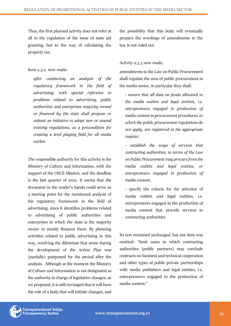Thus, the first planned activity does not refer at all to the regulation of the issue of state aid granting, but to the way of calculating the property tax.

#### Item 2.3.2. now reads:

*after conducting an analysis of the regulatory framework in the field of advertising, with special reference to problems related to advertising, public authorities and enterprises majority owned or financed by the state shall propose or submit an initiative to adopt new or amend existing regulations, as a precondition for creating a level playing field for all media outlets*

The responsible authority for this activity is the Ministry of Culture and Information, with the support of the OSCE Mission, and the deadline is the last quarter of 2021. It seems that the document in the reader's hands could serve as a starting point for the mentioned analysis of the regulatory framework in the field of advertising, since it identifies problems related to advertising of public authorities and enterprises in which the state is the majority owner or mostly finances them. By planning activities related to public advertising in this way, resolving the dilemmas that arose during the development of the Action Plan was (partially) postponed for the period after the analysis. Although at the moment the Ministry of Culture and Information is not designated as the authority in charge of legislative changes, as we proposed, it is still envisaged that it will have the role of a body that will initiate changes, and the possibility that this body will eventually prepare the wordings of amendments to the law is not ruled out.

#### Activity 2.3.3 now reads:

amendments to the Law on Public Procurement shall regulate the area of public procurement in the media sector, in particular they shall:

*- ensure that all data on funds allocated to the media outlets and legal entities, i.e. entrepreneurs engaged in production of media content in procurement procedures, to which the public procurement regulations do not apply, are registered in the appropriate register,*

*- establish the scope of services that contracting authorities, in terms of the Law on Public Procurement may procure from the media outlets and legal entities, or entrepreneurs engaged in production of media content,*

- specify the criteria for the selection of media outlets and legal entities, i.e. entrepreneurs engaged in the production of media content that provide services to contracting authorities

Its text remained unchanged, but one item was omitted: "limit cases in which contracting authorities (public partners) may conclude contracts on business and technical cooperation and other types of public-private partnerships with media publishers and legal entities, i.e. entrepreneurs engaged in the production of media content."

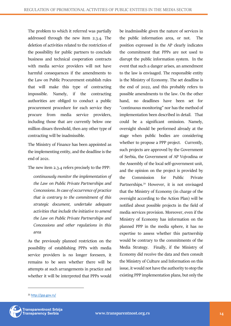The problem to which it referred was partially addressed through the new item 2.3.4. The deletion of activities related to the restriction of the possibility for public partners to conclude business and technical cooperation contracts with media service providers will not have harmful consequences if the amendments to the Law on Public Procurement establish rules that will make this type of contracting impossible. Namely, if the contracting authorities are obliged to conduct a public procurement procedure for each service they procure from media service providers, including those that are currently below one million dinars threshold, then any other type of contracting will be inadmissible.

The Ministry of Finance has been appointed as the implementing entity, and the deadline is the end of 2021.

The new item 2.3.4 refers precisely to the PPP:

*continuously monitor the implementation of the Law on Public Private Partnerships and Concessions. In case of occurrence of practice that is contrary to the commitment of this strategic document, undertake adequate activities that include the initiative to amend the Law on Public Private Partnerships and Concessions and other regulations in this area*

As the previously planned restriction on the possibility of establishing PPPs with media service providers is no longer foreseen, it remains to be seen whether there will be attempts at such arrangements in practice and whether it will be interpreted that PPPs would

be inadmissible given the nature of services in the public information area, or not. The position expressed in the AP clearly indicates the commitment that PPPs are not used to disrupt the public information system. In the event that such a danger arises, an amendment to the law is envisaged. The responsible entity is the Ministry of Economy. The set deadline is the end of 2022, and this probably refers to possible amendments to the law. On the other hand, no deadlines have been set for "continuous monitoring" nor has the method of implementation been described in detail. That could be a significant omission. Namely, oversight should be performed already at the stage when public bodies are considering whether to propose a PPP project. Currently, such projects are approved by the Government of Serbia, the Government of AP Vojvodina or the Assembly of the local self-government unit, and the opinion on the project is provided by the Commission for Public Private Partnerships.<sup>21</sup> However, it is not envisaged that the Ministry of Economy (in charge of the oversight according to the Action Plan) will be notified about possible projects in the field of media services provision. Moreover, even if the Ministry of Economy has information on the planned PPP in the media sphere, it has no expertise to assess whether this partnership would be contrary to the commitments of the Media Strategy. Finally, if the Ministry of Economy did receive the data and then consult the Ministry of Culture and Information on this issue, it would not have the authority to stop the existing PPP implementation plans, but only the

<sup>21</sup> <http://jpp.gov.rs/>

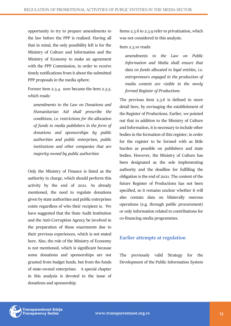opportunity to try to prepare amendments to the law before the PPP is realized. Having all that in mind, the only possibility left is for the Ministry of Culture and Information and the Ministry of Economy to make an agreement with the PPP Commission, in order to receive timely notifications from it about the submitted PPP proposals in the media sphere.

Former item 2.3.4. now became the item 2.3.5. which reads:

*amendments to the Law on Donations and Humanitarian Aid shall prescribe the conditions, i.e. restrictions for the allocation of funds to media publishers in the form of donations and sponsorships by public authorities and public enterprises, public institutions and other companies that are majority owned by public authorities*

Only the Ministry of Finance is listed as the authority in charge, which should perform this activity by the end of 2021. As already mentioned, the need to regulate donations given by state authorities and public enterprises exists regardless of who their recipient is. We have suggested that the State Audit Institution and the Anti-Corruption Agency be involved in the preparation of these enactments due to their previous experiences, which is not stated here. Also, the role of the Ministry of Economy is not mentioned, which is significant because some donations and sponsorships are not granted from budget funds, but from the funds of state-owned enterprises. A special chapter in this analysis is devoted to the issue of donations and sponsorship.

Items 2.3.6 to 2.3.9 refer to privatization, which was not considered in this analysis.

Item 2.3.10 reads:

*amendments to the Law on Public Information and Media shall ensure that data on funds allocated to legal entities, i.e. entrepreneurs engaged in the production of media content are visible in the newly formed Register of Productions*

The previous item 2.3.6 is defined in more detail here, by envisaging the establishment of the Register of Productions. Earlier, we pointed out that in addition to the Ministry of Culture and Information, it is necessary to include other bodies in the formation of this register, in order for the register to be formed with as little burden as possible on publishers and state bodies. However, the Ministry of Culture has been designated as the sole implementing authority and the deadline for fulfilling the obligation is the end of 2021. The content of the future Register of Productions has not been specified, so it remains unclear whether it will also contain data on bilaterally onerous operations (e.g. through public procurement) or only information related to contributions for co-financing media programmes.

# <span id="page-14-0"></span>**Earlier attempts at regulation**

The previously valid Strategy for the Development of the Public Information System

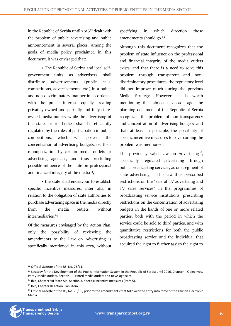in the Republic of Serbia until  $2016^{22}$  dealt with the problem of public advertising and public announcement in several places. Among the goals of media policy proclaimed in this document, it was envisaged that:

• The Republic of Serbia and local selfgovernment units, as advertisers, shall distribute advertisements (public calls, competitions, advertisements, etc.) in a public and non-discriminatory manner in accordance with the public interest, equally treating privately owned and partially and fully stateowned media outlets, while the advertising of the state, or its bodies shall be efficiently regulated by the rules of participation in public competitions, which will prevent the concentration of advertising budgets, i.e. their monopolization by certain media outlets or advertising agencies, and thus precluding possible influence of the state on professional and financial integrity of the media<sup>23</sup>;

• the state shall endeavour to establish specific incentive measures, inter alia, in relation to the obligation of state authorities to purchase advertising space in the media directly from the media outlets, without intermediaries.<sup>24</sup>

Of the measures envisaged by the Action Plan, only the possibility of reviewing the amendments to the Law on Advertising is specifically mentioned in this area, without specifying in which direction those amendments should go.<sup>25</sup>

Although this document recognizes that the problem of state influence on the professional and financial integrity of the media outlets exists, and that there is a need to solve this problem through transparent and nondiscriminatory procedures, the regulatory level did not improve much during the previous Media Strategy. However, it is worth mentioning that almost a decade ago, the planning document of the Republic of Serbia recognized the problem of non-transparency and concentration of advertising budgets, and that, at least in principle, the possibility of specific incentive measures for overcoming the problem was mentioned.

The previously valid Law on Advertising<sup>26</sup>, specifically regulated advertising through public broadcasting services, as one segment of state advertising. This law thus prescribed restrictions on the "sale of TV advertising and TV sales services" in the programmes of broadcasting service institutions, prescribing restrictions on the concentration of advertising budgets in the hands of one or more related parties, both with the period in which the service could be sold to third parties, and with quantitative restrictions for both the public broadcasting service and the individual that acquired the right to further assign the right to

<sup>&</sup>lt;sup>26</sup> Official Gazette of the RS, No. 79/05, prior to the amendments that followed the entry into force of the Law on Electronic Media.



<sup>22</sup> Official Gazette of the RS, No. 75/11.

<sup>&</sup>lt;sup>23</sup> Strategy for the Development of the Public Information System in the Republic of Serbia until 2016, Chapter II Objectives, Part V Media outlets, Section 1, Printed media outlets and news agencies.

<sup>24</sup> Ibid, Chapter VII State Aid, Section 3. Specific incentive measures (item 5).

<sup>25</sup> Ibid, Chapter IX Action Plan, item 8.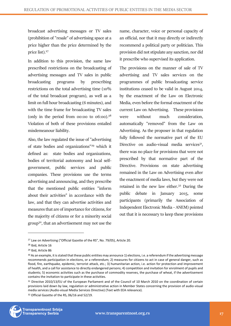broadcast advertising messages or TV sales (prohibition of "resale" of advertising space at a price higher than the price determined by the price list).<sup>27</sup>

In addition to this provision, the same law prescribed restrictions on the broadcasting of advertising messages and TV sales in public broadcasting programs by prescribing restrictions on the total advertising time (10% of the total broadcast program), as well as a limit on full hour broadcasting (6 minutes), and with the time frame for broadcasting TV sales (only in the period from  $00:00$  to  $06:00$ ).<sup>28</sup> Violation of both of these provisions entailed misdemeanour liability.

Also, the law regulated the issue of "advertising of state bodies and organizations"<sup>29</sup> which it defined as: state bodies and organizations, bodies of territorial autonomy and local selfgovernment, public services and public companies. These provisions use the terms advertising and announcing, and they prescribe that the mentioned public entities "inform about their activities" in accordance with the law, and that they can advertise activities and measures that are of importance for citizens, for the majority of citizens or for a minority social group<sup>30</sup>, that an advertisement may not use the

name, character, voice or personal capacity of an official, nor that it may directly or indirectly recommend a political party or politician. This provision did not stipulate any sanction, nor did it prescribe who supervised its application.

The provisions on the manner of sale of TV advertising and TV sales services on the programmes of public broadcasting service institutions ceased to be valid in August 2014, by the enactment of the Law on Electronic Media, even before the formal enactment of the current Law on Advertising. These provisions were without much consideration, automatically "removed" from the Law on Advertising. As the proposer in that regulation fully followed the normative part of the EU Directive on audio-visual media services<sup>31</sup>, there was no place for provisions that were not prescribed by that normative part of the Directive. Provisions on state advertising remained in the Law on Advertising even after the enactment of media laws, but they were not retained in the new law either.<sup>32</sup> During the public debate in January 2015, some participants (primarily the Association of Independent Electronic Media - ANEM) pointed out that it is necessary to keep these provisions

<sup>&</sup>lt;sup>32</sup> Official Gazette of the RS, 06/16 and 52/19.



<sup>27</sup> Law on Advertising ("Official Gazette of the RS", No. 79/05), Article 20.

<sup>28</sup> Ibid, Article 16

<sup>29</sup> Ibid, Article 86

<sup>&</sup>lt;sup>30</sup> As an example, it is stated that these public entities may announce 1) elections, i.e. a referendum if the advertising message recommends participation in elections, or a referendum; 2) measures for citizens to act in case of general danger, such as flood, fire, earthquake, epidemic, terrorist attack, etc.; 3) humanitarian action, i.e. action for protection and improvement of health, and a call for assistance to directly endangered persons; 4) competition and invitation for enrolment of pupils and students; 5) economic activities such as the purchase of commodity reserves, the purchase of wheat, if the advertisement contains the invitation to participate in these activities.

<sup>31</sup> Directive 2010/13/EU of the European Parliament and of the Council of 10 March 2010 on the coordination of certain provisions laid down by law, regulation or administrative action in Member States concerning the provision of audio-visual media services (Audio-visual Media Services Directive) (Text with EEA relevance).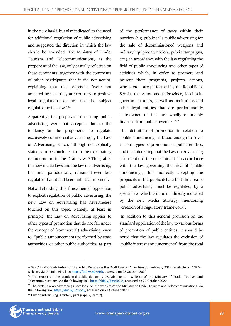in the new law<sup>33</sup>, but also indicated to the need for additional regulation of public advertising and suggested the direction in which the law should be amended. The Ministry of Trade, Tourism and Telecommunications, as the proponent of the law, only casually reflected on these comments, together with the comments of other participants that it did not accept, explaining that the proposals "were not accepted because they are contrary to positive legal regulations or are not the subject regulated by this law."<sup>34</sup>

Apparently, the proposals concerning public advertising were not accepted due to the tendency of the proponents to regulate exclusively commercial advertising by the Law on Advertising, which, although not explicitly stated, can be concluded from the explanatory memorandum to the Draft Law.<sup>35</sup> Thus, after the new media laws and the law on advertising, this area, paradoxically, remained even less regulated than it had been until that moment.

Notwithstanding this fundamental opposition to explicit regulation of public advertising, the new Law on Advertising has nevertheless touched on this topic. Namely, at least in principle, the Law on Advertising applies to other types of promotion that do not fall under the concept of (commercial) advertising, even to: "public announcements performed by state authorities, or other public authorities, as part of the performance of tasks within their purview (e.g. public calls, public advertising for the sale of decommissioned weapons and military equipment, notices, public campaigns, etc.), in accordance with the law regulating the field of public announcing and other types of activities which, in order to promote and present their programs, projects, actions, works, etc. are performed by the Republic of Serbia, the Autonomous Province, local selfgovernment units, as well as institutions and other legal entities that are predominantly state-owned or that are wholly or mainly financed from public revenues."<sup>36</sup>

This definition of promotion in relation to "public announcing" is broad enough to cover various types of promotion of public entities, and it is interesting that the Law on Advertising also mentions the determinant "in accordance with the law governing the area of "public announcing", thus indirectly accepting the proposals in the public debate that the area of public advertising must be regulated, by a special law, which is in turn indirectly indicated by the new Media Strategy, mentioning "creation of a regulatory framework".

In addition to this general provision on the standard application of the law to various forms of promotion of public entities, it should be noted that the law regulates the exclusion of "public interest announcements" from the total

<sup>36</sup> Law on Advertising, Article 3, paragraph 2, item 2).



<sup>33</sup> See ANEM's Contribution to the Public Debate on the Draft Law on Advertising of February 2015, available on ANEM's website, via the following link: [https://bit.ly/2IZ6EHb,](https://bit.ly/2IZ6EHb) accessed on 22 October 2020

<sup>34</sup> The report on the conducted public debate is available on the website of the Ministry of Trade, Tourism and Telecommunications, via the following link[: https://bit.ly/3meNQlA,](https://bit.ly/3meNQlA) accessed on 22 October 2020

<sup>&</sup>lt;sup>35</sup> The draft Law on advertising is available on the website of the Ministry of Trade, Tourism and Telecommunications, via the following link[: https://bit.ly/37xZvYy,](https://bit.ly/37xZvYy) accessed on 22 October 2020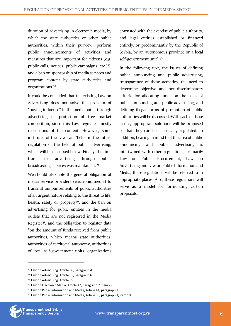duration of advertising in electronic media, by which the state authorities or other public authorities, within their purview, perform public announcements of activities and measures that are important for citizens (e.g. public calls, notices, public campaigns, etc.)<sup>37</sup>, and a ban on sponsorship of media services and program content by state authorities and organizations.<sup>38</sup>

It could be concluded that the existing Law on Advertising does not solve the problem of "buying influence" in the media outlet through advertising or protection of free market competition, since this Law regulates mostly restrictions of the content. However, some institutes of the Law can "help" in the future regulation of the field of public advertising, which will be discussed below. Finally, the time frame for advertising through public broadcasting services was maintained.<sup>39</sup>

We should also note the general obligation of media service providers (electronic media) to transmit announcements of public authorities of an urgent nature relating to the threat to life, health, safety or property $40$ , and the ban on advertising for public entities in the media outlets that are not registered in the Media Register<sup>41</sup>, and the obligation to register data "on the amount of funds received from public authorities, which means state authorities, authorities of territorial autonomy, authorities of local self-government units, organizations

entrusted with the exercise of public authority, and legal entities established or financed entirely, or predominantly by the Republic of Serbia, by an autonomous province or a local self-government unit".<sup>42</sup>

In the following text, the issues of defining public announcing and public advertising, transparency of these activities, the need to determine objective and non-discriminatory criteria for allocating funds on the basis of public announcing and public advertising, and defining illegal forms of promotion of public authorities will be discussed. With each of these issues, appropriate solutions will be proposed so that they can be specifically regulated. In addition, bearing in mind that the area of public announcing and public advertising is intertwined with other regulations, primarily Law on Public Procurement, Law on Advertising and Law on Public Information and Media, these regulations will be referred to in appropriate places. Also, these regulations will serve as a model for formulating certain proposals.

<sup>&</sup>lt;sup>37</sup> Law on Advertising, Article 36, paragraph 4.

<sup>38</sup> Law on Advertising. Article 65, paragraph 6

<sup>&</sup>lt;sup>39</sup> Law on Advertising, Article 35.

<sup>40</sup> Law on Electronic Media, Article 47, paragraph 2, item 2).

<sup>41</sup> Law on Public Information and Media, Article 44, paragraph 2.

<sup>42</sup> Law on Public Information and Media, Article 39, paragraph 1, item 10.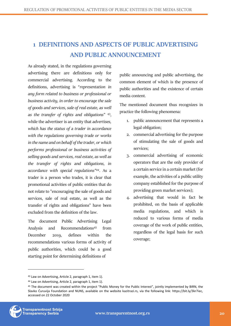# <span id="page-19-0"></span>**1 DEFINITIONS AND ASPECTS OF PUBLIC ADVERTISING AND PUBLIC ANNOUNCEMENT**

As already stated, in the regulations governing advertising there are definitions only for commercial advertising. According to the definitions, advertising is "*representation in any form related to business or professional or business activity, in order to encourage the sale of goods and services, sale of real estate, as well as the transfer of rights and obligations*" <sup>43</sup> , while the advertiser is an entity that *advertises, which has the status of a trader in accordance with the regulations governing trade or works in the name and on behalf of the trader, or which performs professional or business activities of selling goods and services, real estate, as well as the transfer of rights and obligations, in accordance with special regulations"<sup>44</sup>*. As a trader is a person who trades, it is clear that promotional activities of public entities that do not relate to "encouraging the sale of goods and services, sale of real estate, as well as the transfer of rights and obligations" have been excluded from the definition of the law.

The document Public Advertising Legal Analysis and Recommendations<sup>45</sup> from December 2019, defines within the recommendations various forms of activity of public authorities, which could be a good starting point for determining definitions of

public announcing and public advertising, the common element of which is the presence of public authorities and the existence of certain media content.

The mentioned document thus recognizes in practice the following phenomena:

- 1. public announcement that represents a legal obligation;
- 2. commercial advertising for the purpose of stimulating the sale of goods and services;
- 3. commercial advertising of economic operators that are the only provider of a certain service in a certain market (for example, the activities of a public utility company established for the purpose of providing green market services);
- 4. advertising that would in fact be prohibited, on the basis of applicable media regulations, and which is reduced to various forms of media coverage of the work of public entities, regardless of the legal basis for such coverage;

<sup>45</sup> The document was created within the project "Public Money for the Public Interest", jointly implemented by BIRN, the Slavko Ćuruvija Foundation and NUNS, available on the website kazitrazi.rs, via the following link: https://bit.ly/3kr7iec, accessed on 22 October 2020



<sup>43</sup> Law on Advertising, Article 2, paragraph 1, item 1).

<sup>44</sup> Law on Advertising, Article 2, paragraph 1, item 1).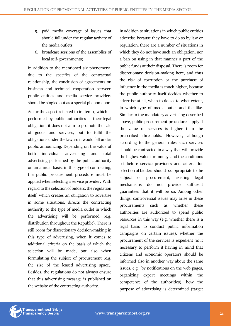- 5. paid media coverage of issues that should fall under the regular activity of the media outlets;
- 6. broadcast sessions of the assemblies of local self-governments;

In addition to the mentioned six phenomena, due to the specifics of the contractual relationship, the conclusion of agreements on business and technical cooperation between public entities and media service providers should be singled out as a special phenomenon.

As for the aspect referred to in item 1, which is performed by public authorities as their legal obligation, it does not aim to promote the sale of goods and services, but to fulfil the obligations under the law, so it would fall under public announcing. Depending on the value of both individual advertising and total advertising performed by the public authority on an annual basis, in this type of contracting, the public procurement procedure must be applied when selecting a service provider. With regard to the selection of bidders, the regulation itself, which creates an obligation to advertise in some situations, directs the contracting authority to the type of media outlet in which the advertising will be performed (e.g. distribution throughout the Republic). There is still room for discretionary decision-making in this type of advertising, when it comes to additional criteria on the basis of which the selection will be made, but also when formulating the subject of procurement (e.g. the size of the leased advertising space). Besides, the regulations do not always ensure that this advertising message is published on the website of the contracting authority.

In addition to situations in which public entities advertise because they have to do so by law or regulation, there are a number of situations in which they do not have such an obligation, nor a ban on using in that manner a part of the public funds at their disposal. There is room for discretionary decision-making here, and thus the risk of corruption or the purchase of influence in the media is much higher, because the public authority itself decides whether to advertise at all, when to do so, to what extent, in which type of media outlet and the like. Similar to the mandatory advertising described above, public procurement procedures apply if the value of services is higher than the prescribed thresholds. However, although according to the general rules such services should be contracted in a way that will provide the highest value for money, and the conditions set before service providers and criteria for selection of bidders should be appropriate to the subject of procurement, existing legal mechanisms do not provide sufficient guarantees that it will be so. Among other things, controversial issues may arise in these procurements such as whether these authorities are authorized to spend public resources in this way (e.g. whether there is a legal basis to conduct public information campaigns on certain issues), whether the procurement of the services is expedient (is it necessary to perform it having in mind that citizens and economic operators should be informed also in another way about the same issues, e.g. by notifications on the web pages, organizing expert meetings within the competence of the authorities), how the purpose of advertising is determined (target

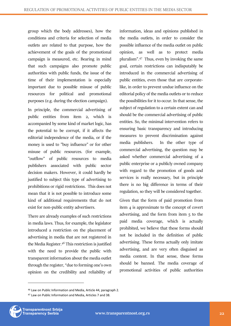group which the body addresses), how the conditions and criteria for selection of media outlets are related to that purpose, how the achievement of the goals of the promotional campaign is measured, etc. Bearing in mind that such campaigns also promote public authorities with public funds, the issue of the time of their implementation is especially important due to possible misuse of public resources for political and promotional purposes (e.g. during the election campaign).

In principle, the commercial advertising of public entities from item 2, which is accompanied by some kind of market logic, has the potential to be corrupt, if it affects the editorial independence of the media, or if the money is used to "buy influence" or for other misuse of public resources. (for example, "outflow" of public resources to media publishers associated with public sector decision makers. However, it could hardly be justified to subject this type of advertising to prohibitions or rigid restrictions. This does not mean that it is not possible to introduce some kind of additional requirements that do not exist for non-public entity advertisers.

There are already examples of such restrictions in media laws. Thus, for example, the legislator introduced a restriction on the placement of advertising in media that are not registered in the Media Register.<sup>46</sup> This restriction is justified with the need to provide the public with transparent information about the media outlet through the register, "due to forming one's own opinion on the credibility and reliability of information, ideas and opinions published in the media outlets, in order to consider the possible influence of the media outlet on public opinion, as well as to protect media pluralism".<sup>47</sup> Thus, even by invoking the same goal, certain restrictions can indisputably be introduced in the commercial advertising of public entities, even those that are corporatelike, in order to prevent undue influence on the editorial policy of the media outlets or to reduce the possibilities for it to occur. In that sense, the subject of regulation to a certain extent can and should be the commercial advertising of public entities. So, the minimal intervention refers to ensuring basic transparency and introducing measures to prevent discrimination against media publishers. In the other type of commercial advertising, the question may be asked whether commercial advertising of a public enterprise or a publicly owned company with regard to the promotion of goods and services is really necessary, but in principle there is no big difference in terms of their regulation, so they will be considered together.

Given that the form of paid promotion from item 4 is approximate to the concept of covert advertising, and the form from item 5 to the paid media coverage, which is actually prohibited, we believe that these forms should not be included in the definition of public advertising. These forms actually only imitate advertising, and are very often disguised as media content. In that sense, these forms should be banned. The media coverage of promotional activities of public authorities

<sup>47</sup> Law on Public Information and Media, Articles 7 and 38.



<sup>46</sup> Law on Public Information and Media, Article 44, paragraph 2.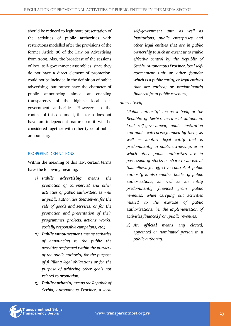should be reduced to legitimate presentation of the activities of public authorities with restrictions modelled after the provisions of the former Article 86 of the Law on Advertising from 2005. Also, the broadcast of the sessions of local self-government assemblies, since they do not have a direct element of promotion, could not be included in the definition of public advertising, but rather have the character of public announcing aimed at enabling transparency of the highest local selfgovernment authorities. However, in the context of this document, this form does not have an independent nature, so it will be considered together with other types of public announcing.

#### PROPOSED DEFINITIONS

Within the meaning of this law, certain terms have the following meaning:

- *1) Public advertising means the promotion of commercial and other activities of public authorities, as well as public authorities themselves, for the sale of goods and services, or for the promotion and presentation of their programmes, projects, actions, works, socially responsible campaigns, etc.;*
- *2) Public announcement means activities of announcing to the public the activities performed within the purview of the public authority for the purpose of fulfilling legal obligations or for the purpose of achieving other goals not related to promotion;*
- *3) Public authority means the Republic of Serbia, Autonomous Province, a local*

*self-government unit, as well as institutions, public enterprises and other legal entities that are in public ownership to such an extent as to enable effective control by the Republic of Serbia, Autonomous Province, local selfgovernment unit or other founder which is a public entity, or legal entities that are entirely or predominantly financed from public revenues;*

## *Alternatively:*

*"Public authority" means a body of the Republic of Serbia, territorial autonomy, local self-government, public institution and public enterprise founded by them, as well as another legal entity that is predominantly in public ownership, or in which other public authorities are in possession of stocks or share to an extent that allows for effective control. A public authority is also another holder of public authorizations, as well as an entity predominantly financed from public revenues, when carrying out activities related to the exercise of public authorizations, i.e. the implementation of activities financed from public revenues.*

*4) An official means any elected, appointed or nominated person in a public authority.*

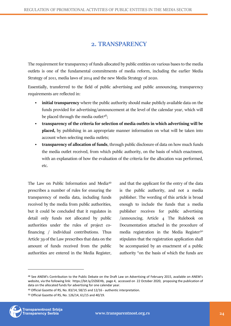# **2. TRANSPARENCY**

<span id="page-23-0"></span>The requirement for transparency of funds allocated by public entities on various bases to the media outlets is one of the fundamental commitments of media reform, including the earlier Media Strategy of 2011, media laws of 2014 and the new Media Strategy of 2020.

Essentially, transferred to the field of public advertising and public announcing, transparency requirements are reflected in:

- **initial transparency** where the public authority should make publicly available data on the funds provided for advertising/announcement at the level of the calendar year, which will be placed through the media outlet<sup>48</sup>;
- **transparency of the criteria for selection of media outlets in which advertising will be placed,** by publishing in an appropriate manner information on what will be taken into account when selecting media outlets;
- **transparency of allocation of funds**, through public disclosure of data on how much funds the media outlet received, from which public authority, on the basis of which enactment, with an explanation of how the evaluation of the criteria for the allocation was performed, etc.

The Law on Public Information and Media<sup>49</sup> prescribes a number of rules for ensuring the transparency of media data, including funds received by the media from public authorities, but it could be concluded that it regulates in detail only funds not allocated by public authorities under the rules of project cofinancing / individual contributions. Thus Article 39 of the Law prescribes that data on the amount of funds received from the public authorities are entered in the Media Register,

and that the applicant for the entry of the data is the public authority, and not a media publisher. The wording of this article is broad enough to include the funds that a media publisher receives for public advertising /announcing. Article 4 The Rulebook on Documentation attached in the procedure of media registration in the Media Register<sup>50</sup> stipulates that the registration application shall be accompanied by an enactment of a public authority "on the basis of which the funds are

<sup>50</sup> Official Gazette of RS, No. 126/14, 61/15 and 40/19.



<sup>48</sup> See ANEM's Contribution to the Public Debate on the Draft Law on Advertising of February 2015, available on ANEM's website, via the following link: https://bit.ly/2IZ6EHb, page 4, accessed on 22 October 2020, proposing the publication of data on the allocated funds for advertising for one calendar year.

<sup>49</sup> Official Gazette of RS, No. 83/14, 58/15 and 12/16 - authentic interpretation.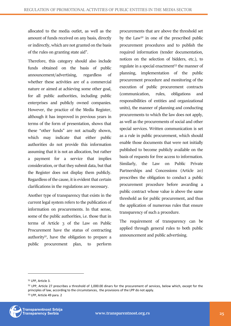allocated to the media outlet, as well as the amount of funds received on any basis, directly or indirectly, which are not granted on the basis of the rules on granting state aid".

Therefore, this category should also include funds obtained on the basis of public announcement/advertising, regardless of whether these activities are of a commercial nature or aimed at achieving some other goal, for all public authorities, including public enterprises and publicly owned companies. However, the practice of the Media Register, although it has improved in previous years in terms of the form of presentation, shows that these "other funds" are not actually shown, which may indicate that either public authorities do not provide this information assuming that it is not an allocation, but rather a payment for a service that implies consideration, or that they submit data, but that the Register does not display them publicly. Regardless of the cause, it is evident that certain clarifications in the regulations are necessary.

Another type of transparency that exists in the current legal system refers to the publication of information on procurements. In that sense, some of the public authorities, i.e. those that in terms of Article 3 of the Law on Public Procurement have the status of contracting authority<sup>51</sup>, have the obligation to prepare a public procurement plan, to perform

procurements that are above the threshold set by the Law<sup>52</sup> in one of the prescribed public procurement procedures and to publish the required information (tender documentation, notices on the selection of bidders, etc.), to regulate in a special enactment<sup>53</sup> the manner of planning, implementation of the public procurement procedure and monitoring of the execution of public procurement contracts (communication, rules, obligations and responsibilities of entities and organizational units), the manner of planning and conducting procurements to which the law does not apply, as well as the procurements of social and other special services. Written communication is set as a rule in public procurement, which should enable those documents that were not initially published to become publicly available on the basis of requests for free access to information. Similarly, the Law on Public Private Partnerships and Concessions (Article 20) prescribes the obligation to conduct a public procurement procedure before awarding a public contract whose value is above the same threshold as for public procurement, and thus the application of numerous rules that ensure transparency of such a procedure.

The requirement of transparency can be applied through general rules to both public announcement and public advertising.

<sup>52</sup> LPP, Article 27 prescribes a threshold of 1,000.00 dinars for the procurement of services, below which, except for the principles of law, according to the circumstances, the provisions of the LPP do not apply. <sup>53</sup> LPP, Article 49 para. 2



<sup>51</sup> LPP, Article 3.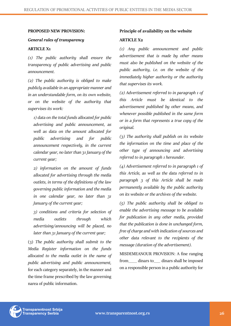#### **PROPOSED NEW PROVISION:**

#### *General rules of transparency*

#### **ARTICLE X1**

*(1) The public authority shall ensure the transparency of public advertising and public announcement.*

*(2) The public authority is obliged to make publicly available in an appropriate manner and in an understandable form, on its own website, or on the website of the authority that supervises its work:*

*1) data on the total funds allocated for public advertising and public announcement, as well as data on the amount allocated for public advertising and for public announcement respectively, in the current calendar year, no later than 31 January of the current year;*

*2) information on the amount of funds allocated for advertising through the media outlets, in terms of the definitions of the law governing public information and the media in one calendar year, no later than 31 January of the current year;*

*3) conditions and criteria for selection of media outlets through which advertising/announcing will be placed, no later than 31 January of the current year;*

(3) *The public authority shall submit to the Media Register information on the funds allocated to the media outlet in the name of public advertising and public announcement,*  for each category separately, in the manner and the time frame prescribed by the law governing narea of public information.

#### **Principle of availability on the website**

#### **ARTICLE X2**

*(1) Any public announcement and public advertisement that is made by other means must also be published on the website of the public authority, i.e. on the website of the immediately higher authority or the authority that supervises its work.*

*(2) Advertisement referred to in paragraph 1 of this Article must be identical to the advertisement published by other means, and whenever possible published in the same form or in a form that represents a true copy of the original.*

*(3) The authority shall publish on its website the information on the time and place of the other type of announcing and advertising referred to in paragraph 1 hereunder.*

*(4) Advertisement referred to in paragraph 1 of this Article, as well as the data referred to in paragraph 3 of this Article shall be made permanently available by the public authority on its website or the archives of the website.*

*(5) The public authority shall be obliged to enable the advertising message to be available for publication in any other media, provided that the publication is done in unchanged form, free of charge and with indication of sources and other data relevant to the recipients of the message (duration of the advertisement).*

MISDEMEANOUR PROVISION: A fine ranging from dinars to dinars shall be imposed on a responsible person in a public authority for

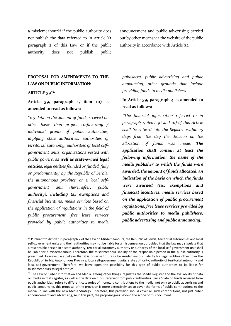a misdemeanour<sup>54</sup> if the public authority does not publish the data referred to in Article X1 paragraph 2 of this Law or if the public authority does not publish public

announcement and public advertising carried out by other means via the website of the public authority in accordance with Article X2.

# **PROPOSAL FOR AMENDMENTS TO THE LAW ON PUBLIC INFORMATION:**

#### **ARTICLE 39<sup>55</sup>**:

# **Article 39, paragraph 1, item 10) is amended to read as follows:**

*"10) data on the amount of funds received on other bases than project co-financing / individual grants of public authorities, implying state authorities, authorities of territorial autonomy, authorities of local selfgovernment units, organizations vested with public powers, as well as state-owned legal entities, legal entities founded or funded, fully or predominantly by the Republic of Serbia, the autonomous province, or a local selfgovernment unit (hereinafter: public authority), including tax exemptions and financial incentives, media services based on the application of regulations in the field of public procurement, free lease services provided by public authorities to media* 

*publishers, public advertising and public announcing, other grounds that include providing funds to media publishers.*

# **In Article 39, paragraph 4 is amended to read as follows:**

*"The financial information referred to in paragraph 1, items 9) and 10) of this Article shall be entered into the Register within 15 days from the day the decision on the allocation of funds was made. The application shall contain at least the following information: the name of the media publisher to which the funds were awarded, the amount of funds allocated, an indication of the basis on which the funds were awarded (tax exemptions and financial incentives, media services based on the application of public procurement regulations, free lease services provided by public authorities to media publishers, public advertising and public announcing,* 

<sup>54</sup> Pursuant to Article 17, paragraph 2 of the Law on Misdemeanours, the Republic of Serbia, territorial autonomies and local self-government units and their authorities may not be liable for a misdemeanour, provided that the law may stipulate that a responsible person in a state authority, territorial autonomy authority or authority of the local self-government unit shall be liable for a misdemeanour. Therefore, the misdemeanour liability of the responsible person in the public authority is prescribed. However, we believe that it is possible to prescribe misdemeanour liability for legal entities other than the Republic of Serbia, Autonomous Province, local self-government units, state authority, authority of territorial autonomy and local self-government. Therefore, we leave open the possibility for this type of public authorities to be liable for misdemeanours as legal entities.

<sup>55</sup> The Law on Public Information and Media, among other things, regulates the Media Register and the availability of data on media in that register, as well as the data on funds received from public authorities. Since "data on funds received from public authorities" refers to different categories of monetary contributions to the media, not only to public advertising and public announcing, this proposal of the provision is more extensively set to cover the forms of public contributions to the media, in line with the new Media Strategy. Therefore, this provision should cover all such contributions, not just public announcement and advertising, so in this part, the proposal goes beyond the scope of this document.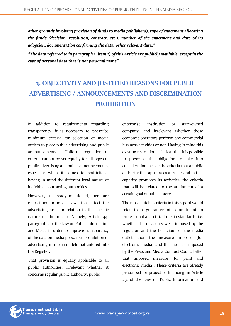*other grounds involving provision of funds to media publishers), type of enactment allocating the funds (decision, resolution, contract, etc.), number of the enactment and date of its adoption, documentation confirming the data, other relevant data."*

*"The data referred to in paragraph 1, item 1) of this Article are publicly available, except in the case of personal data that is not personal name".*

# <span id="page-27-0"></span>**3. OBJECTIVITY AND JUSTIFIED REASONS FOR PUBLIC ADVERTISING / ANNOUNCEMENTS AND DISCRIMINATION PROHIBITION**

In addition to requirements regarding transparency, it is necessary to prescribe minimum criteria for selection of media outlets to place public advertising and public announcements. Uniform regulation of criteria cannot be set equally for all types of public advertising and public announcements, especially when it comes to restrictions, having in mind the different legal nature of individual contracting authorities.

However, as already mentioned, there are restrictions in media laws that affect the advertising area, in relation to the specific nature of the media. Namely, Article 44, paragraph 2 of the Law on Public Information and Media in order to improve transparency of the data on media prescribes prohibition of advertising in media outlets not entered into the Register.

That provision is equally applicable to all public authorities, irrelevant whether it concerns regular public authority, public

enterprise, institution or state-owned company, and irrelevant whether those economic operators perform any commercial business activities or not. Having in mind this existing restriction, it is clear that it is possible to prescribe the obligation to take into consideration, beside the criteria that a public authority that appears as a trader and in that capacity promotes its activities, the criteria that will be related to the attainment of a certain goal of public interest.

The most suitable criteria in this regard would refer to a guarantee of commitment to professional and ethical media standards, i.e. whether the measures were imposed by the regulator and the behaviour of the media outlet upon the measure imposed (for electronic media) and the measure imposed by the Press and Media Conduct Council after that imposed measure (for print and electronic media). These criteria are already prescribed for project co-financing, in Article 23. of the Law on Public Information and

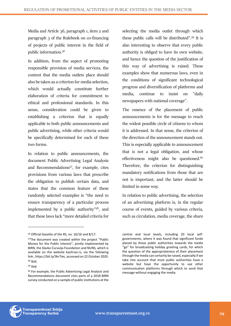Media and Article 36, paragraph 1, item 2 and paragraph 3 of the Rulebook on co-financing of projects of public interest in the field of public information.<sup>56</sup>

In addition, from the aspect of promoting responsible provision of media services, the content that the media outlets place should also be taken as a criterion for media selection, which would actually constitute further elaboration of criteria for commitment to ethical and professional standards. In this sense, consideration could be given to establishing a criterion that is equally applicable to both public announcements and public advertising, while other criteria would be specifically determined for each of these two forms.

In relation to public announcements, the document Public Advertising Legal Analysis and Recommendations<sup>57</sup>, for example, cites provisions from various laws that prescribe the obligation to publish certain data, and states that the common feature of these randomly selected examples is "the need to ensure transparency of a particular process implemented by a public authority" <sup>58</sup>, and that these laws lack "more detailed criteria for

selecting the media outlet through which these public calls will be distributed".<sup>59</sup> It is also interesting to observe that every public authority is obliged to have its own website, and hence the question of the justification of this way of advertising is raised. These examples show that numerous laws, even in the conditions of significant technological progress and diversification of platforms and media, continue to insist on "daily newspapers with national coverage".

The essence of the placement of public announcements is for the message to reach the widest possible circle of citizens to whom it is addressed. In that sense, the criterion of the direction of the announcement stands out. This is especially applicable to announcement that is not a legal obligation, and whose effectiveness might also be questioned.<sup>60</sup> Therefore, the criterion for distinguishing mandatory notifications from those that are not is important, and the latter should be limited in some way.

In relation to public advertising, the selection of an advertising platform is, in the regular course of events, guided by various criteria, such as circulation, media coverage, the share



<sup>56</sup> Official Gazette of the RS, no. 16/16 and 8/17.

<sup>57</sup>The document was created within the project "Public Money for the Public Interest", jointly implemented by BIRN, the Slavko Ćuruvija Foundation and NUNS, which is available on the website kazitrazi.rs, via the following link: ,https://bit.ly/3kr7iec, accessed on 22 October 2020. <sup>58</sup> Ibid.

<sup>59</sup> Ibid.

<sup>60</sup> For example, the Public Advertising Legal Analysis and Recommendations document cites parts of a 2018 BIRN survey conducted on a sample of public institutions at the

central and local levels, including 20 local selfgovernments, where it was found that significant funds placed by these public authorities towards the media "go" for broadcasting holiday greeting cards, for which the question of the appropriateness of their placement through the media can certainly be raised, especially if we take into account that most public authorities have a website but have the opportunity to use other communication platforms through which to send that message without engaging the media.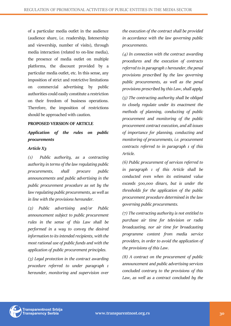of a particular media outlet in the audience (audience share, i.e. readership, listenership and viewership, number of visits), through media interaction (related to on-line media), the presence of media outlet on multiple platforms, the discount provided by a particular media outlet, etc. In this sense, any imposition of strict and restrictive limitations on commercial advertising by public authorities could easily constitute a restriction on their freedom of business operations. Therefore, the imposition of restrictions should be approached with caution.

#### **PROPOSED VERSION OF ARTICLE**

*Application of the rules on public procurements*

#### *Article X3*

*(1) Public authority, as a contracting authority in terms of the law regulating public procurements, shall procure public announcements and public advertising in the public procurement procedure as set by the law regulating public procurements, as well as in line with the provisions hereunder.* 

*(2) Public advertising and/or Public announcement subject to public procurement rules in the sense of this Law shall be performed in a way to convey the desired information to its intended recipients, with the most rational use of public funds and with the application of public procurement principles.*

*(3) Legal protection in the contract awarding procedure referred to under paragraph 1 hereunder, monitoring and supervision over* 

*the execution of the contract shall be provided in accordance with the law governing public procurements.*

*(4) In connection with the contract awarding procedures and the execution of contracts referred to in paragraph 1 hereunder, the penal provisions prescribed by the law governing public procurements, as well as the penal provisions prescribed by this Law, shall apply.*

*(5) The contracting authority shall be obliged to closely regulate under its enactment the methods of planning, conducting of public procurement and monitoring of the public procurement contract execution, and all issues of importance for planning, conducting and monitoring of procurements, i.e. procurement contracts referred to in paragraph 1 of this Article.*

*(6) Public procurement of services referred to in paragraph 1 of this Article shall be conducted even when its estimated value exceeds 500,000 dinars, but is under the thresholds for the application of the public procurement procedure determined in the law governing public procurements.*

*(7) The contracting authority is not entitled to purchase air time for television or radio broadcasting, nor air time for broadcasting programme content from media service providers, in order to avoid the application of the provisions of this Law.*

*(8) A contract on the procurement of public announcement and public advertising services concluded contrary to the provisions of this Law, as well as a contract concluded by the* 

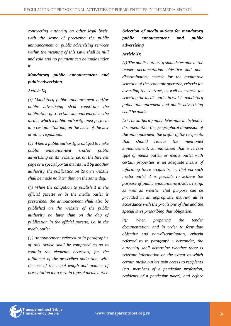*contracting authority on other legal basis, with the scope of procuring the public announcement or public advertising services within the meaning of this Law, shall be null and void and no payment can be made under it.*

# *Mandatory public announcement and public advertising*

#### *Article X4*

*(1) Mandatory public announcement and/or public advertising shall constitute the publication of a certain announcement in the media, which a public authority must perform in a certain situation, on the basis of the law or other regulation.*

*(2) When a public authority is obliged to make public announcement and/or public advertising on its website, i.e. on the Internet page or a special portal maintained by another authority, the publication on its own website shall be made no later than on the same day.*

*(3) When the obligation to publish it in the official gazette or in the media outlet is prescribed, the announcement shall also be published on the website of the public authority no later than on the day of publication in the official gazette, i.e. in the media outlet.*

*(4) Announcement referred to in paragraph 1 of this Article shall be composed so as to contain the elements necessary for the fulfilment of the prescribed obligation, with the use of the usual length and manner of presentation for a certain type of media outlet.*

# *Selection of media outlets for mandatory public announcement and public advertising*

## *Article X5*

*(1) The public authority shall determine in the tender documentation objective and nondiscriminatory criteria for the qualitative selection of the economic operator, criteria for awarding the contract, as well as criteria for selecting the media outlet in which mandatory public announcement and public advertising shall be made.*

*(2) The authority must determine in its tender documentation the geographical dimension of the announcement, the profile of the recipients that should receive the mentioned announcement, an indication that a certain type of media outlet, or media outlet with certain properties is an adequate means of informing those recipients, i.e. that via such media outlet it is possible to achieve the purpose of public announcement/advertising, as well as whether that purpose can be provided in an appropriate manner, all in accordance with the provisions of this and the special laws prescribing that obligation.*

*(3) When preparing the tender documentation, and in order to formulate objective and non-discriminatory criteria referred to in paragraph 1 hereunder, the authority shall determine whether there is relevant information on the extent to which certain media outlets gain access to recipients (e.g. members of a particular profession, residents of a particular place), and before* 

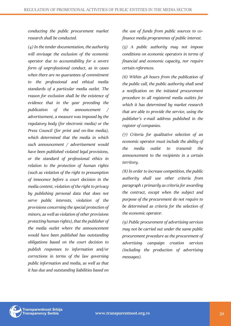*conducting the public procurement market research shall be conducted.*

*(4) In the tender documentation, the authority will envisage the exclusion of the economic operator due to accountability for a severe form of unprofessional conduct, as in cases when there are no guarantees of commitment to the professional and ethical media standards of a particular media outlet. The reason for exclusion shall be the existence of evidence that in the year preceding the publication of the announcement / advertisement, a measure was imposed by the regulatory body (for electronic media) or the Press Council (for print and on-line media), which determined that the media in which such announcement / advertisement would have been published violated legal provisions, or the standard of professional ethics in relation to the protection of human rights (such as violation of the right to presumption of innocence before a court decision in the media content, violation of the right to privacy by publishing personal data that does not serve public interests, violation of the provisions concerning the special protection of minors, as well as violation of other provisions protecting human rights), that the publisher of the media outlet where the announcement would have been published has outstanding obligations based on the court decision to publish responses to information and/or corrections in terms of the law governing public information and media, as well as that it has due and outstanding liabilities based on* 

*the use of funds from public sources to cofinance media programmes of public interest.*

*(5) A public authority may not impose conditions on economic operators in terms of financial and economic capacity, nor require certain references.*

*(6) Within 48 hours from the publication of the public call, the public authority shall send a notification on the initiated procurement procedure to all registered media outlets for which it has determined by market research that are able to provide the service, using the publisher's e-mail address published in the register of companies.*

*(7) Criteria for qualitative selection of an economic operator must include the ability of the media outlet to transmit the announcement to the recipients in a certain territory.*

*(8) In order to increase competition, the public authority shall use other criteria from paragraph 1 primarily as criteria for awarding the contract, except when the subject and purpose of the procurement do not require to be determined as criteria for the selection of the economic operator.* 

*(9) Public procurement of advertising services may not be carried out under the same public procurement procedure as the procurement of advertising campaign creation services (including the production of advertising messages).*

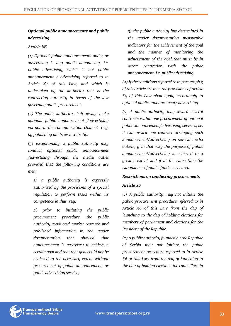# *Optional public announcements and public advertising*

#### *Article X6*

*(1) Optional public announcements and / or advertising is any public announcing, i.e. public advertising, which is not public announcement / advertising referred to in Article X4 of this Law, and which is undertaken by the authority that is the contracting authority in terms of the law governing public procurement.*

*(2) The public authority shall always make optional public announcement /advertising via non-media communication channels (e.g. by publishing on its own website).*

*(3) Exceptionally, a public authority may conduct optional public announcement /advertising through the media outlet provided that the following conditions are met:*

*1) a public authority is expressly authorized by the provisions of a special regulation to perform tasks within its competence in that way;*

*2) prior to initiating the public procurement procedure, the public authority conducted market research and published information in the tender documentation that showed that announcement is necessary to achieve a certain goal and that that goal could not be achieved to the necessary extent without procurement of public announcement, or public advertising service;*

*3) the public authority has determined in the tender documentation measurable indicators for the achievement of the goal and the manner of monitoring the achievement of the goal that must be in direct connection with the public announcement, i.e. public advertising.*

*(4) If the conditions referred to in paragraph 3 of this Article are met, the provisions of Article X5 of this Law shall apply accordingly to optional public announcement/ advertising.*

*(5) A public authority may award several contracts within one procurement of optional public announcement/advertising services, i.e. it can award one contract arranging such announcement/advertising on several media outlets, if in that way the purpose of public announcement/advertising is achieved to a greater extent and if at the same time the rational use of public funds is ensured.*

#### *Restrictions on conducting procurements*

## *Article X7*

*(1) A public authority may not initiate the public procurement procedure referred to in Article X6 of this Law from the day of launching to the day of holding elections for members of parliament and elections for the President of the Republic.*

*(2) A public authority founded by the Republic of Serbia may not initiate the public procurement procedure referred to in Article X6 of this Law from the day of launching to the day of holding elections for councillors in* 

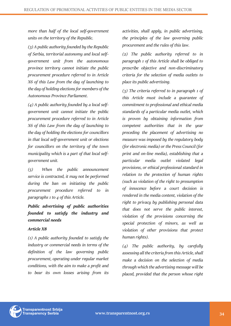*more than half of the local self-government units on the territory of the Republic.*

*(3) A public authority founded by the Republic of Serbia, territorial autonomy and local selfgovernment unit from the autonomous province territory cannot initiate the public procurement procedure referred to in Article X6 of this Law from the day of launching to the day of holding elections for members of the Autonomous Province Parliament.*

*(4) A public authority founded by a local selfgovernment unit cannot initiate the* public *procurement procedure referred to in Article X6 of this Law from the day of launching to the day of holding the elections for councillors in that local self-government unit or elections for councillors on the territory of the town municipality which is a part of that local selfgovernment unit.*

*(5) When the public announcement service is contracted, it may not be performed during the ban on initiating the public procurement procedure referred to in paragraphs 1 to 4 of this Article.*

*Public advertising of public authorities founded to satisfy the industry and commercial needs*

#### *Article X8*

*(1) A public authority founded to satisfy the industry or commercial needs in terms of the definition of the law governing public procurement, operating under regular market conditions, with the aim to make a profit and to bear its own losses arising from its*  *activities, shall apply, in public advertising, the principles of the law governing public procurement and the rules of this law.*

*(2) The public authority referred to in paragraph 1 of this Article shall be obliged to prescribe objective and non-discriminatory criteria for the selection of media outlets to place its public advertising.*

*(3) The criteria referred to in paragraph 1 of this Article must include a guarantee of commitment to professional and ethical media standards of a particular media outlet, which is proven by obtaining information from competent authorities that in the year preceding the placement of advertising no measure was imposed by the regulatory body (for electronic media) or the Press Council (for print and on-line media), establishing that a particular media outlet violated legal provisions, or ethical professional standard in relation to the protection of human rights (such as violation of the right to presumption of innocence before a court decision is rendered in the media content, violation of the right to privacy by publishing personal data that does not serve the public interest, violation of the provisions concerning the special protection of minors, as well as violation of other provisions that protect human rights).*

*(4) The public authority, by carefully assessing all the criteria from this Article, shall make a decision on the selection of media through which the advertising message will be placed, provided that the person whose right* 

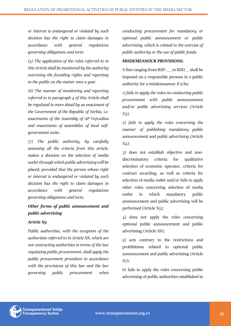*or interest is endangered or violated by such decision has the right to claim damages in accordance with general regulations governing obligations and torts.*

*(5) The application of the rules referred to in this Article shall be monitored by the authority exercising the founding rights and reporting to the public on the matter once a year.*

*(6) The manner of monitoring and reporting referred to in paragraph 4 of this Article shall be regulated in more detail by an enactment of the Government of the Republic of Serbia, i.e. enactments of the Assembly of AP Vojvodina and enactments of assemblies of local selfgovernment units.*

*(7) The public authority, by carefully assessing all the criteria from this article, makes a decision on the selection of media outlet through which public advertising will be placed, provided that the person whose right or interest is endangered or violated by such decision has the right to claim damages in accordance with general regulations governing obligations and torts.*

# *Other forms of public announcement and public advertising*

## *Article X9*

*Public authorities, with the exception of the authorities referred to in Article X8, which are not contracting authorities in terms of the law regulating public procurement, shall apply the public procurement procedure in accordance with the provisions of this law and the law governing public procurement when* 

*conducting procurement for mandatory or optional public announcement or public advertising, which is related to the exercise of public authority or the use of public funds.*

#### **MISDEMEANOUR PROVISIONS:**

A fine ranging from RSD \_\_\_to RSD\_\_ shall be imposed on a responsible persons in a public authority for a misdemeanour if s/he:

*1) fails to apply the rules on conducting public procurement with public announcement and/or public advertising services (Article X3);*

*2) fails to apply the rules concerning the manner of publishing mandatory public announcement and public advertising (Article X4);*

3) does not establish objective and nondiscriminatory criteria for qualitative selection of economic operator, criteria for contract awarding, as well as criteria for selection of media outlet and/or fails to apply other rules concerning selection of media outlet in which mandatory public announcement and public advertising will be performed (Article X5);

4) does not apply the rules concerning optional public announcement and public advertising (Article X6);

5) acts contrary to the restrictions and prohibitions related to optional public announcement and public advertising (Article X7);

6) fails to apply the rules concerning public advertising of public authorities established in

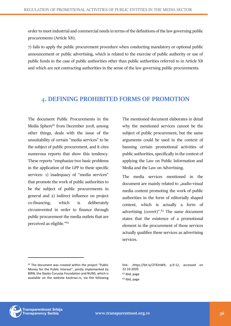order to meet industrial and commercial needs in terms of the definitions of the law governing public procurements (Article X8);

7) fails to apply the public procurement procedure when conducting mandatory or optional public announcement or public advertising, which is related to the exercise of public authority or use of public funds in the case of public authorities other than public authorities referred to in Article X8 and which are not contracting authorities in the sense of the law governing public procurements.

# <span id="page-35-0"></span>4**. DEFINING PROHIBITED FORMS OF PROMOTION**

The document Public Procurements in the Media Sphere<sup>61</sup> from December 2018, among other things, deals with the issue of the unsuitability of certain "media services" to be the subject of public procurement, and it cites numerous reports that show this tendency. These reports "emphasize two basic problems in the application of the LPP to these specific services: 1) inadequacy of "media services" that promote the work of public authorities to be the subject of public procurements in general and 2) indirect influence on project co-financing, which is deliberately circumvented in order to finance through public procurement the media outlets that are perceived as eligible."<sup>62</sup>

The mentioned document elaborates in detail why the mentioned services cannot be the subject of public procurement, but the same arguments could be used in the context of banning certain promotional activities of public authorities, specifically in the context of applying the Law on Public Information and Media and the Law on Advertising.

The media services mentioned in the document are mainly related to "audio-visual media content promoting the work of public authorities in the form of editorially shaped content, which is actually a form of advertising (covert)".<sup>63</sup> The same document states that the existence of a promotional element in the procurement of these services actually qualifies these services as advertising services.



<sup>61</sup> The document was created within the project "Public Money for the Public Interest", jointly implemented by BIRN, the Slavko Ćuruvija Foundation and NUNS, which is available on the website kazitrazi.rs, via the following

link: ,https://bit.ly/2TlOnW9, p.9-12, accessed on 22.10.2020. <sup>62</sup> Ibid, page

<sup>63</sup> Ibid, page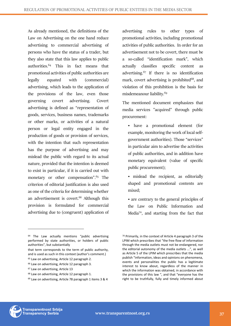As already mentioned, the definitions of the Law on Advertising on the one hand reduce advertising to commercial advertising of persons who have the status of a trader, but they also state that this law applies to public authorities.<sup>64</sup> This in fact means that promotional activities of public authorities are legally equated with (commercial) advertising, which leads to the application of the provisions of the law, even those governing covert advertising. Covert advertising is defined as "representation of goods, services, business names, trademarks or other marks, or activities of a natural person or legal entity engaged in the production of goods or provision of services, with the intention that such representation has the purpose of advertising and may mislead the public with regard to its actual nature, provided that the intention is deemed to exist in particular, if it is carried out with monetary or other compensation".<sup>65</sup> The criterion of editorial justification is also used as one of the criteria for determining whether an advertisement is covert.<sup>66</sup> Although this provision is formulated for commercial advertising due to (congruent) application of advertising rules to other types of promotional activities, including promotional activities of public authorities. In order for an advertisement not to be covert, there must be a so-called "identification mark", which actually classifies specific content as advertising. $67$  If there is no identification mark, covert advertising is prohibited<sup>68</sup>, and violation of this prohibition is the basis for misdemeanour liability.<sup>69</sup>

The mentioned document emphasizes that media services "acquired" through public procurement:

- have a promotional element (for example, monitoring the work of local selfgovernment authorities). Those "services" in particular aim to advertise the activities of public authorities, and in addition have monetary equivalent (value of specific public procurement);
- mislead the recipient, as editorially shaped and promotional contents are mixed;

• are contrary to the general principles of the Law on Public Information and Media<sup>70</sup>, and starting from the fact that

- <sup>66</sup> Law on advertising, Article 12 paragraph 3.
- <sup>67</sup> Law on advertising, Article 13
- <sup>68</sup> Law on advertising, Article 12 paragraph 1.
- <sup>69</sup> Law on advertising, Article 78 paragraph 1 items 3 & 4



<sup>&</sup>lt;sup>64</sup> The Law actually mentions "public advertising performed by state authorities, or holders of public authorities", but substantially

that term corresponds to the term of public authority, and is used as such in this context (author's comment.)

<sup>65</sup> Law on advertising, Article 12 paragraph 2.

<sup>70</sup> Primarily, in the context of Article 4 paragraph 3 of the LPIM which prescribes that "the free flow of information through the media outlets must not be endangered, nor the editorial autonomy of the media outlets ...", as well as Article 5 of the LPIM which prescribes that the media publish "information, ideas and opinions on phenomena, events and personalities the public has a legitimate interest to know about, regardless of the manner in which the information was obtained, in accordance with the provisions of this law ", and that "everyone has the right to be truthfully, fully and timely informed about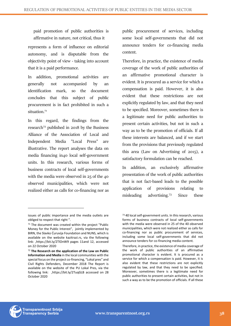paid promotion of public authorities is affirmative in nature, not critical, thus it

represents a form of influence on editorial autonomy, and is disputable from the objectivity point of view - taking into account that it is a paid performance.

In addition, promotional activities are generally not accompanied by an identification mark, so the document concludes that this subject of public procurement is in fact prohibited in such a situation.<sup>71</sup>

In this regard, the findings from the research<sup>72</sup> published in 2018 by the Business Alliance of the Association of Local and Independent Media "Local Press" are illustrative. The report analyses the data on media financing in40 local self-government units. In this research, various forms of business contracts of local self-governments with the media were observed in 25 of the 40 observed municipalities, which were not realized either as calls for co-financing nor as

public procurement of services, including some local self-governments that did not announce tenders for co-financing media content.

Therefore, in practice, the existence of media coverage of the work of public authorities of an affirmative promotional character is evident. It is procured as a service for which a compensation is paid. However, it is also evident that these restrictions are not explicitly regulated by law, and that they need to be specified. Moreover, sometimes there is a legitimate need for public authorities to present certain activities, but not in such a way as to be the promotion of officials. If all these interests are balanced, and if we start from the provisions that previously regulated this area (Law on Advertising of 2015), a satisfactory formulation can be reached.

In addition, an exclusively affirmative presentation of the work of public authorities that is not fact-based leads to the possible application of provisions relating to misleading advertising.<sup>73</sup> Since these



issues of public importance and the media outlets are obliged to respect that right ".

<sup>&</sup>lt;sup>71</sup> The document was created within the project "Public Money for the Public Interest", jointly implemented by BIRN, the Slavko Ćuruvija Foundation and NUNS, which is available on the website kazitrazi.rs, via the following link: ,https://bit.ly/2TlOnW9 pages 11and 12, accessed on 22 October 2020

<sup>72</sup> **The Research on the application of the Law on Public Information and Media** in the local communities with the special focus on the project co-financing, "Lokal pres" and Civil Rights Defenders, December 2018 The Report is available on the website of the PU Lokal Pres, via the following link: ,https://bit.ly/2TuqGLB accessed on 28 October 2020

<sup>73</sup> 40 local self-government units. In this research, various forms of business contracts of local self-governments with the media were observed in 25 of the 40 observed municipalities, which were not realized either as calls for co-financing nor as public procurement of services, including some local self-governments that did not announce tenders for co-financing media content.

Therefore, in practice, the existence of media coverage of the work of public authorities of an affirmative promotional character is evident. It is procured as a service for which a compensation is paid. However, it is also evident that these restrictions are not explicitly regulated by law, and that they need to be specified. Moreover, sometimes there is a legitimate need for public authorities to present certain activities, but not in such a way as to be the promotion of officials. If all these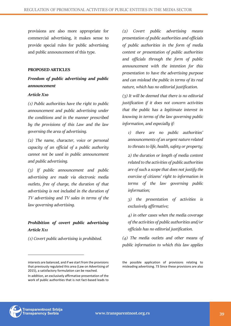provisions are also more appropriate for commercial advertising, it makes sense to provide special rules for public advertising and public announcement of this type.

#### **PROPOSED ARTICLES**

# *Freedom of public advertising and public announcement*

#### *Article X10*

*(1) Public authorities have the right to public announcement and public advertising under the conditions and in the manner prescribed by the provisions of this Law and the law governing the area of advertising.*

*(2) The name, character, voice or personal capacity of an official of a public authority cannot not be used in public announcement and public advertising.*

*(3) If public announcement and public advertising are made via electronic media outlets, free of charge, the duration of that advertising is not included in the duration of TV advertising and TV sales in terms of the law governing advertising.*

# *Prohibition of covert public advertising Article X11*

*(1) Covert public advertising is prohibited.* 

*(2) Covert public advertising means presentation of public authorities and officials of public authorities in the form of media content or presentation of public authorities and officials through the form of public announcement with the intention for this presentation to have the advertising purpose and can mislead the public in terms of its real nature, which has no editorial justification.*

*(3) It will be deemed that there is no editorial justification if it does not concern activities that the public has a legitimate interest in knowing in terms of the law governing public information, and especially if:*

*1) there are no public authorities' announcements of an urgent nature related to threats to life, health, safety or property;*

*2) the duration or length of media content related to the activities of public authorities are of such a scope that does not justify the exercise of citizens' right to information in terms of the law governing public information;*

*3) the presentation of activities is exclusively affirmative;*

*4) in other cases when the media coverage of the activities of public authorities and/or officials has no editorial justification.*

*(4) The media outlets and other means of public information to which this law applies* 



interests are balanced, and if we start from the provisions that previously regulated this area (Law on Advertising of 2015), a satisfactory formulation can be reached. In addition, an exclusively affirmative presentation of the work of public authorities that is not fact-based leads to

the possible application of provisions relating to misleading advertising. 73 Since these provisions are also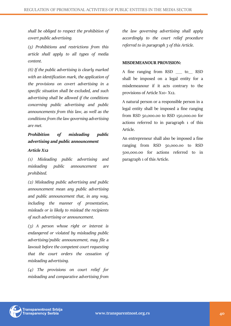*shall be obliged to respect the prohibition of covert public advertising.*

*(5) Prohibitions and restrictions from this article shall apply to all types of media content.*

*(6) If the public advertising is clearly marked with an identification mark, the application of the provisions on covert advertising in a specific situation shall be excluded, and such advertising shall be allowed if the conditions concerning public advertising and public announcements from this law, as well as the conditions from the law governing advertising are met.*

# *Prohibition of misleading public advertising and public announcement*

#### *Article X12*

*(1) Misleading public advertising and misleading public announcement are prohibited.*

*(2) Misleading public advertising and public announcement mean any public advertising and public announcement that, in any way, including the manner of presentation, misleads or is likely to mislead the recipients of such advertising or announcement.*

*(3) A person whose right or interest is endangered or violated by misleading public advertising/public announcement, may file a lawsuit before the competent court requesting that the court orders the cessation of misleading advertising.*

*(4) The provisions on court relief for misleading and comparative advertising from*  *the law governing advertising shall apply accordingly to the court relief procedure referred to in paragraph 3 of this Article.*

#### **MISDEMEANOUR PROVISION:**

A fine ranging from RSD \_\_\_ to\_\_ RSD shall be imposed on a legal entity for a misdemeanour if it acts contrary to the provisions of Article X10- X12.

A natural person or a responsible person in a legal entity shall be imposed a fine ranging from RSD 50,000.00 to RSD 150,000.00 for actions referred to in paragraph 1 of this Article.

An entrepreneur shall also be imposed a fine ranging from RSD 50,000.00 to RSD 500,000.00 for actions referred to in paragraph 1 of this Article.

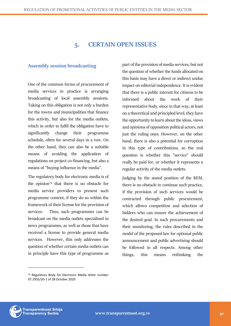# **5. CERTAIN OPEN ISSUES**

# <span id="page-40-1"></span><span id="page-40-0"></span>**Assembly session broadcasting**

One of the common forms of procurement of media services in practice is arranging broadcasting of local assembly sessions. Taking on this obligation is not only a burden for the towns and municipalities that finance this activity, but also for the media outlets, which in order to fulfil the obligation have to significantly change their programme schedule, often for several days in a row. On the other hand, they can also be a suitable means of avoiding the application of regulations on project co-financing, but also a means of "buying influence in the media".

The regulatory body for electronic media is of the opinion<sup>74</sup> that there is no obstacle for media service providers to present such programme content, if they do so within the framework of their license for the provision of services. Thus, such programmes can be broadcast on the media outlets specialized in news programmes, as well as those that have received a license to provide general media services. However, this only addresses the question of whether certain media outlets can in principle have this type of programme as

part of the provision of media services, but not the question of whether the funds allocated on this basis may have a direct or indirect undue impact on editorial independence. It is evident that there is a public interest for citizens to be informed about the work of their representative body, since in that way, at least on a theoretical and principled level, they have the opportunity to learn about the ideas, views and opinions of opposition political actors, not just the ruling ones. However, on the other hand, there is also a potential for corruption in this type of contributions, so the real question is whether this "service" should really be paid for, or whether it represents a regular activity of the media outlets.

Judging by the stated position of the REM, there is no obstacle to continue such practice, if the provision of such services would be contracted through public procurement, which allows competition and selection of bidders who can ensure the achievement of the desired goal. In such procurements and their monitoring, the rules described in the model of the proposed law for optional public announcement and public advertising should be followed in all respects. Among other things, this means rethinking the



<sup>74</sup> Regulatory Body for Electronic Media letter number 07.1955/20-1 of 28 October 2020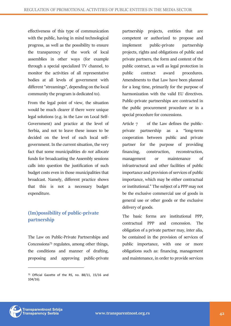effectiveness of this type of communication with the public, having in mind technological progress, as well as the possibility to ensure the transparency of the work of local assemblies in other ways (for example through a special specialized TV channel, to monitor the activities of all representative bodies at all levels of government with different "streamings", depending on the local community the program is dedicated to).

From the legal point of view, the situation would be much clearer if there were unique legal solutions (e.g. in the Law on Local Self-Government) and practice at the level of Serbia, and not to leave these issues to be decided on the level of each local selfgovernment. In the current situation, the very fact that some municipalities *do not allocate* funds for broadcasting the Assembly sessions calls into question the justification of such budget costs even in those municipalities that broadcast. Namely, different practice shows that this is not a necessary budget expenditure.

# <span id="page-41-0"></span>**(Im)possibility of public-private partnership**

The Law on Public-Private Partnerships and Concessions<sup>75</sup> regulates, among other things, the conditions and manner of drafting, proposing and approving public-private

partnership projects, entities that are competent or authorized to propose and implement public-private partnership projects, rights and obligations of public and private partners, the form and content of the public contract, as well as legal protection in public contract award procedures. Amendments to that Law have been planned for a long time, primarily for the purpose of harmonization with the valid EU directives. Public-private partnerships are contracted in the public procurement procedure or in a special procedure for concessions.

Article 7 of the Law defines the publicprivate partnership as a "long-term cooperation between public and private partner for the purpose of providing financing, construction, reconstruction, management or maintenance of infrastructural and other facilities of public importance and provision of services of public importance, which may be either contractual or institutional." The subject of a PPP may not be the exclusive commercial use of goods in general use or other goods or the exclusive delivery of goods.

The basic forms are institutional PPP, contractual PPP and concession. The obligation of a private partner may, inter alia, be contained in the provision of services of public importance, with one or more obligations such as: financing, management and maintenance, in order to provide services



<sup>&</sup>lt;sup>75</sup> Official Gazette of the RS, no. 88/11, 15/16 and 104/16).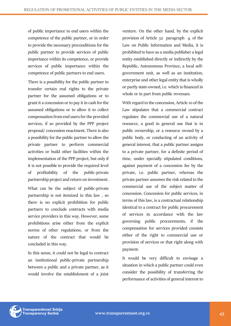of public importance to end users within the competence of the public partner, or in order to provide the necessary preconditions for the public partner to provide services of public importance within its competence, or provide services of public importance within the competence of public partners to end users.

There is a possibility for the public partner to transfer certain real rights to the private partner for the assumed obligations or to grant it a concession or to pay it in cash for the assumed obligations or to allow it to collect compensation from end users for the provided services, if so provided by the PPP project proposal/ concession enactment. There is also a possibility for the public partner to allow the private partner to perform commercial activities or build other facilities within the implementation of the PPP project, but only if it is not possible to provide the required level of profitability of the public-private partnership project and return on investment.

What can be the subject of public-private partnership is not itemized in this law , so there is no explicit prohibition for public partners to conclude contracts with media service providers in this way. However, some prohibitions arise either from the explicit norms of other regulations, or from the nature of the contract that would be concluded in this way.

In this sense, it could not be legal to contract an institutional public-private partnership between a public and a private partner, as it would involve the establishment of a joint venture. On the other hand, by the explicit provision of Article 32 paragraph 4. of the Law on Public Information and Media, it is prohibited to have as a media publisher a legal entity established directly or indirectly by the Republic, Autonomous Province, a local selfgovernment unit, as well as an institution, enterprise and other legal entity that is wholly or partly state-owned, i.e. which is financed in whole or in part from public revenues.

With regard to the concession, Article 10 of the Law stipulates that a commercial contract regulates the commercial use of a natural resource, a good in general use that is in public ownership, or a resource owned by a public body, or conducting of an activity of general interest, that a public partner assigns to a private partner, for a definite period of time, under specially stipulated conditions, against payment of a concession fee by the private, i.e. public partner, whereas the private partner assumes the risk related to the commercial use of the subject matter of concession. Concession for public services, in terms of this law, is a contractual relationship identical to a contract for public procurement of services in accordance with the law governing public procurements, if the compensation for services provided consists either of the right to commercial use or provision of services or that right along with payment.

It would be very difficult to envisage a situation in which a public partner could even consider the possibility of transferring the performance of activities of general interest to

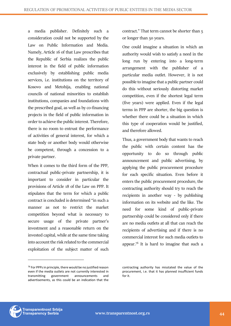a media publisher. Definitely such a consideration could not be supported by the Law on Public Information and Media. Namely, Article 16 of that Law prescribes that the Republic of Serbia realizes the public interest in the field of public information exclusively by establishing public media services, i.e. institutions on the territory of Kosovo and Metohija, enabling national councils of national minorities to establish institutions, companies and foundations with the prescribed goal, as well as by co-financing projects in the field of public information in order to achieve the public interest. Therefore, there is no room to entrust the performance of activities of general interest, for which a state body or another body would otherwise be competent, through a concession to a private partner.

When it comes to the third form of the PPP, contractual public-private partnership, it is important to consider in particular the provisions of Article 18 of the Law on PPP. It stipulates that the term for which a public contract is concluded is determined "in such a manner as not to restrict the market competition beyond what is necessary to secure usage of the private partner's investment and a reasonable return on the invested capital, while at the same time taking into account the risk related to the commercial exploitation of the subject matter of such

contract." That term cannot be shorter than 5 or longer than 50 years.

One could imagine a situation in which an authority would wish to satisfy a need in the long run by entering into a long-term arrangement with the publisher of a particular media outlet. However, it is not possible to imagine that a public partner could do this without seriously distorting market competition, even if the shortest legal term (five years) were applied. Even if the legal terms in PPP are shorter, the big question is whether there could be a situation in which this type of cooperation would be justified, and therefore allowed.

Thus, a government body that wants to reach the public with certain content has the opportunity to do so through public announcement and public advertising, by applying the public procurement procedure for each specific situation. Even before it enters the public procurement procedure, the contracting authority should try to reach the recipients in another way - by publishing information on its website and the like. The need for some kind of public-private partnership could be considered only if there are no media outlets at all that can reach the recipients of advertising and if there is no commercial interest for such media outlets to appear.<sup>76</sup> It is hard to imagine that such a



<sup>76</sup> For PPPs in principle, there would be no justified reason even if the media outlets are not currently interested in transmitting government announcements and advertisements, as this could be an indication that the

contracting authority has misstated the value of the procurement, i.e. that it has planned insufficient funds for it.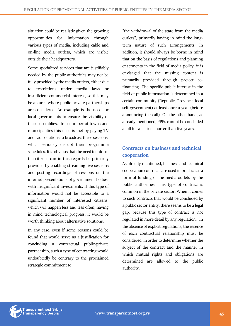situation could be realistic given the growing opportunities for information through various types of media, including cable and on-line media outlets, which are visible outside their headquarters.

Some specialized services that are justifiably needed by the public authorities may not be fully provided by the media outlets, either due to restrictions under media laws or insufficient commercial interest, so this may be an area where public-private partnerships are considered. An example is the need for local governments to ensure the visibility of their assemblies. In a number of towns and municipalities this need is met by paying TV and radio stations to broadcast these sessions, which seriously disrupt their programme schedules. It is obvious that the need to inform the citizens can in this regards be primarily provided by enabling streaming live sessions and posting recordings of sessions on the internet presentations of government bodies, with insignificant investments. If this type of information would not be accessible to a significant number of interested citizens, which will happen less and less often, having in mind technological progress, it would be worth thinking about alternative solutions.

In any case, even if some reasons could be found that would serve as a justification for concluding a contractual public-private partnership, such a type of contracting would undoubtedly be contrary to the proclaimed strategic commitment to

"the withdrawal of the state from the media outlets", primarily having in mind the longterm nature of such arrangements. In addition, it should always be borne in mind that on the basis of regulations and planning enactments in the field of media policy, it is envisaged that the missing content is primarily provided through project cofinancing. The specific public interest in the field of public information is determined in a certain community (Republic, Province, local self-government) at least once a year (before announcing the call). On the other hand, as already mentioned, PPPs cannot be concluded at all for a period shorter than five years.

# <span id="page-44-0"></span>**Contracts on business and technical cooperation**

As already mentioned, business and technical cooperation contracts are used in practice as a form of funding of the media outlets by the public authorities. This type of contract is common in the private sector. When it comes to such contracts that would be concluded by a public sector entity, there seems to be a legal gap, because this type of contract is not regulated in more detail by any regulation. In the absence of explicit regulations, the essence of each contractual relationship must be considered, in order to determine whether the subject of the contract and the manner in which mutual rights and obligations are determined are allowed to the public authority.

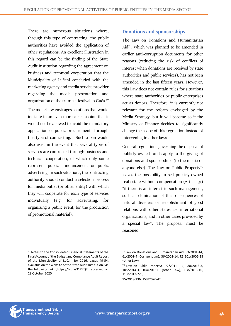There are numerous situations where, through this type of contracting, the public authorities have avoided the application of other regulations. An excellent illustration in this regard can be the finding of the State Audit Institution regarding the agreement on business and technical cooperation that the Municipality of Lučani concluded with the marketing agency and media service provider regarding the media presentation and organization of the trumpet festival in Guča.<sup>77</sup>

The model law envisages solutions that would indicate in an even more clear fashion that it would not be allowed to avoid the mandatory application of public procurements through this type of contracting. Such a ban would also exist in the event that several types of services are contracted through business and technical cooperation, of which only some represent public announcement or public advertising. In such situations, the contracting authority should conduct a selection process for media outlet (or other entity) with which they will cooperate for each type of services individually (e.g. for advertising, for organizing a public event, for the production of promotional material).

# <span id="page-45-0"></span>**Donations and sponsorships**

The Law on Donations and Humanitarian Aid<sup>78</sup>, which was planned to be amended in earlier anti-corruption documents for other reasons (reducing the risk of conflicts of interest when donations are received by state authorities and public services), has not been amended in the last fifteen years. However, this Law does not contain rules for situations where state authorities or public enterprises act as donors. Therefore, it is currently not relevant for the reform envisaged by the Media Strategy, but it will become so if the Ministry of Finance decides to significantly change the scope of this regulation instead of intervening in other laws.

General regulations governing the disposal of publicly owned funds apply to the giving of donations and sponsorships (to the media or anyone else). The Law on Public Property<sup>79</sup> leaves the possibility to sell publicly-owned real estate without compensation (Article 31) "if there is an interest in such management, such as elimination of the consequences of natural disasters or establishment of good relations with other states, i.e. international organizations, and in other cases provided by a special law". The proposal must be reasoned.



<sup>77</sup> Notes to the Consolidated Financial Statements of the Final Account of the Budget and Compliance Audit Report of the Municipality of Lučani for 2016, pages 49-54, available on the website of the State Audit Institution, via the following link: ,https://bit.ly/31R7QTp accessed on 28 October 2020

<sup>78</sup> Law on Donations and Humanitarian Aid: 53/2001-14, 61/2001-4 (Corrigendum), 36/2002-14, RS 101/2005-28 (other Law)

<sup>79</sup> Law on Public Property: 72/2011-114, 88/2013-3, 105/2014-3, 104/2016-6 (other Law), 108/2016-10, 113/2017-228,

<sup>95/2018-236, 153/2020-42</sup>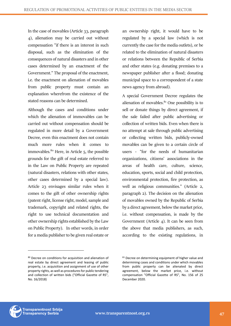In the case of movables (Article 33, paragraph 4), alienation may be carried out without compensation "if there is an interest in such disposal, such as the elimination of the consequences of natural disasters and in other cases determined by an enactment of the Government." The proposal of the enactment, i.e. the enactment on alienation of movables from public property must contain an explanation wherefrom the existence of the stated reasons can be determined.

Although the cases and conditions under which the alienation of immovables can be carried out without compensation should be regulated in more detail by a Government Decree, even this enactment does not contain much more rules when it comes to immovables. $80$  Here, in Article 5, the possible grounds for the gift of real estate referred to in the Law on Public Property are repeated (natural disasters, relations with other states, other cases determined by a special law). Article 23 envisages similar rules when it comes to the gift of other ownership rights (patent right, license right, model, sample and trademark, copyright and related rights, the right to use technical documentation and other ownership rights established by the Law on Public Property). In other words, in order for a media publisher to be given real estate or an ownership right, it would have to be regulated by a special law (which is not currently the case for the media outlets), or be related to the elimination of natural disasters or relations between the Republic of Serbia and other states (e.g. donating premises to a newspaper publisher after a flood; donating municipal space to a correspondent of a state news agency from abroad).

A special Government Decree regulates the alienation of movables. $81$  One possibility is to sell or donate things by direct agreement, if the sale failed after public advertising or collection of written bids. Even when there is no attempt at sale through public advertising or collecting written bids, publicly-owned movables can be given to a certain circle of users - "for the needs of humanitarian organizations, citizens' associations in the areas of health care, culture, science, education, sports, social and child protection, environmental protection, fire protection, as well as religious communities." (Article 2, paragraph 2). The decision on the alienation of movables owned by the Republic of Serbia by a direct agreement, below the market price, i.e. without compensation, is made by the Government (Article 4). It can be seen from the above that media publishers, as such, according to the existing regulations, in



<sup>80</sup> Decree on conditions for acquisition and alienation of real estate by direct agreement and leasing of public property, i.e. acquisition and assignment of use of other property rights, as well as procedures for public tendering and collection of written bids ("Official Gazette of RS", No. 16/2018)

<sup>81</sup> Decree on determining equipment of higher value and determining cases and conditions under which movables from public property can be alienated by direct agreement, below the market price, i.e. without compensation "Official Gazette of RS", No. 156 of 25 December 2020.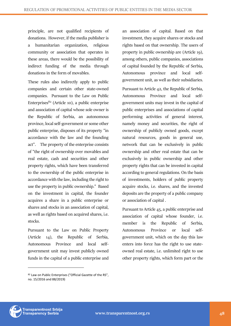principle, are not qualified recipients of donations. However, if the media publisher is a humanitarian organization, religious community or association that operates in these areas, there would be the possibility of indirect funding of the media through donations in the form of movables.

These rules also indirectly apply to public companies and certain other state-owned companies. Pursuant to the Law on Public Enterprises $82$  (Article 10), a public enterprise and association of capital whose sole owner is the Republic of Serbia, an autonomous province, local self-government or some other public enterprise, disposes of its property "in accordance with the law and the founding act". The property of the enterprise consists of "the right of ownership over movables and real estate, cash and securities and other property rights, which have been transferred to the ownership of the public enterprise in accordance with the law, including the right to use the property in public ownership." Based on the investment in capital, the founder acquires a share in a public enterprise or shares and stocks in an association of capital, as well as rights based on acquired shares, i.e. stocks.

Pursuant to the Law on Public Property (Article 14), the Republic of Serbia, Autonomous Province and local selfgovernment unit may invest publicly owned funds in the capital of a public enterprise and

82 Law on Public Enterprises ("Official Gazette of the RS", no. 15/2016 and 88/2019)

an association of capital. Based on that investment, they acquire shares or stocks and rights based on that ownership. The users of property in public ownership are (Article 19), among others, public companies, associations of capital founded by the Republic of Serbia, Autonomous province and local selfgovernment unit, as well as their subsidiaries. Pursuant to Article 42, the Republic of Serbia, Autonomous Province and local selfgovernment units may invest in the capital of public enterprises and associations of capital performing activities of general interest, namely money and securities, the right of ownership of publicly owned goods, except natural resources, goods in general use, network that can be exclusively in public ownership and other real estate that can be exclusively in public ownership and other property rights that can be invested in capital according to general regulations. On the basis of investments, holders of public property acquire stocks, i.e. shares, and the invested deposits are the property of a public company or association of capital .

Pursuant to Article 45, a public enterprise and association of capital whose founder, i.e. member is the Republic of Serbia, Autonomous Province or local selfgovernment unit, which on the day this law enters into force has the right to use stateowned real estate, i.e. unlimited right to use other property rights, which form part or the

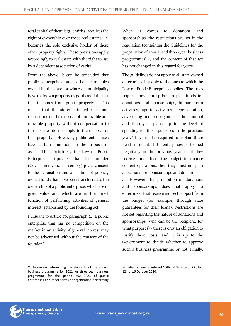total capital of these legal entities, acquires the right of ownership over these real estates, i.e. becomes the sole exclusive holder of these other property rights. These provisions apply accordingly to real estate with the right to use by a dependent association of capital.

From the above, it can be concluded that public enterprises and other companies owned by the state, province or municipality have their own property (regardless of the fact that it comes from public property). This means that the aforementioned rules and restrictions on the disposal of immovable and movable property without compensation to third parties do not apply to the disposal of that property. However, public enterprises have certain limitations in the disposal of assets. Thus, Article 69 the Law on Public Enterprises stipulates that the founder (Government, local assembly) gives consent to the acquisition and alienation of publicly owned funds that have been transferred to the ownership of a public enterprise, which are of great value and which are in the direct function of performing activities of general interest, established by the founding act.

Pursuant to Article 70, paragraph 2, "a public enterprise that has no competition on the market in an activity of general interest may not be advertised without the consent of the founder."

83 Decree on determining the elements of the annual business programme for 2021, or three-year business programme for the period 2021-2023 of public enterprises and other forms of organization performing When it comes to donations and sponsorships, the restrictions are set in the regulation (containing the Guidelines for the preparation of annual and three-year business programmes) $83$ , and the content of that act has not changed in this regard for years.

The guidelines do not apply to all state-owned enterprises, but only to the ones to which the Law on Public Enterprises applies. The rules require these enterprises to plan funds for donations and sponsorships, humanitarian activities, sports activities, representation, advertising and propaganda in their annual and three-year plans, up to the level of spending for those purposes in the previous year. They are also required to explain these needs in detail. If the enterprises performed negatively in the previous year or if they receive funds from the budget to finance current operations, then they must not plan allocations for sponsorships and donations at all. However, this prohibition on donations and sponsorships does not apply to enterprises that receive indirect support from the budget (for example, through state guarantees for their loans). Restrictions are not set regarding the nature of donations and sponsorships (who can be the recipient, for what purposes) - there is only an obligation to justify these costs, and it is up to the Government to decide whether to approve such a business programme or not. Finally,



activities of general interest "Official Gazette of RS", No. 124 of 16 October 2020.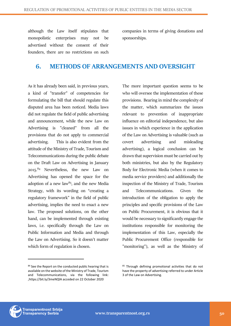although the Law itself stipulates that monopolistic enterprises may not be advertised without the consent of their founders, there are no restrictions on such companies in terms of giving donations and sponsorships.

# **6. METHODS OF ARRANGEMENTS AND OVERSIGHT**

As it has already been said, in previous years, a kind of "transfer" of competencies for formulating the bill that should regulate this disputed area has been noticed. Media laws did not regulate the field of public advertising and announcement, while the new Law on Advertising is "cleaned" from all the provisions that do not apply to commercial advertising. This is also evident from the attitude of the Ministry of Trade, Tourism and Telecommunications during the public debate on the Draft Law on Advertising in January 2015.<sup>84</sup> Nevertheless, the new Law on Advertising has opened the space for the adoption of a new law<sup>85</sup>, and the new Media Strategy, with its wording on "creating a regulatory framework" in the field of public advertising, implies the need to enact a new law. The proposed solutions, on the other hand, can be implemented through existing laws, i.e. specifically through the Law on Public Information and Media and through the Law on Advertising. So it doesn't matter which form of regulation is chosen.

The more important question seems to be who will oversee the implementation of these provisions. Bearing in mind the complexity of the matter, which summarizes the issues relevant to prevention of inappropriate influence on editorial independence, but also issues in which experience in the application of the Law on Advertising is valuable (such as covert advertising and misleading advertising), a logical conclusion can be drawn that supervision must be carried out by both ministries, but also by the Regulatory Body for Electronic Media (when it comes to media service providers) and additionally the inspection of the Ministry of Trade, Tourism and Telecommunications. Given the introduction of the obligation to apply the principles and specific provisions of the Law on Public Procurement, it is obvious that it would be necessary to significantly engage the institutions responsible for monitoring the implementation of this Law, especially the Public Procurement Office (responsible for "monitoring"), as well as the Ministry of



<sup>84</sup> See the Report on the conducted public hearing that is available on the website of the Ministry of Trade, Tourism and Telecommunications, via the following link: ,https://bit.ly/3meNQlA acceded on 22 October 2020

<sup>85</sup> Through defining promotional activities that do not have the property of advertising referred to under Article 3 of the Law on Advertising.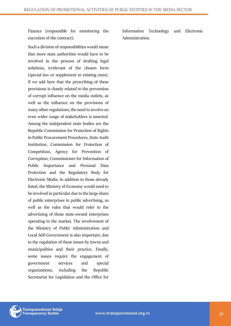Finance (responsible for monitoring the execution of the contract).

Such a division of responsibilities would mean that more state authorities would have to be involved in the process of drafting legal solutions, irrelevant of the chosen form (special law or supplement to existing ones). If we add here that the prescribing of these provisions is closely related to the prevention of corrupt influence on the media outlets, as well as the influence on the provisions of many other regulations, the need to involve an even wider range of stakeholders is asserted. Among the independent state bodies are the Republic Commission for Protection of Rights in Public Procurement Procedures, State Audit Institution, Commission for Protection of Competition, Agency for Prevention of Corruption, Commissioner for Information of Public Importance and Personal Data Protection and the Regulatory Body for Electronic Media. In addition to those already listed, the Ministry of Economy would need to be involved in particular due to the large share of public enterprises in public advertising, as well as the rules that would refer to the advertising of those state-owned enterprises operating in the market. The involvement of the Ministry of Public Administration and Local Self-Government is also important, due to the regulation of these issues by towns and municipalities and their practice. Finally, some issues require the engagement of government services and special organizations, including the Republic Secretariat for Legislation and the Office for

Information Technology and Electronic Administration.